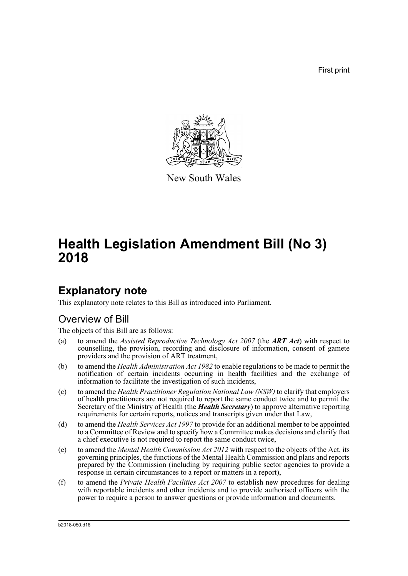First print



New South Wales

# **Health Legislation Amendment Bill (No 3) 2018**

## **Explanatory note**

This explanatory note relates to this Bill as introduced into Parliament.

## Overview of Bill

The objects of this Bill are as follows:

- (a) to amend the *Assisted Reproductive Technology Act 2007* (the *ART Act*) with respect to counselling, the provision, recording and disclosure of information, consent of gamete providers and the provision of ART treatment,
- (b) to amend the *Health Administration Act 1982* to enable regulations to be made to permit the notification of certain incidents occurring in health facilities and the exchange of information to facilitate the investigation of such incidents,
- (c) to amend the *Health Practitioner Regulation National Law (NSW)* to clarify that employers of health practitioners are not required to report the same conduct twice and to permit the Secretary of the Ministry of Health (the *Health Secretary*) to approve alternative reporting requirements for certain reports, notices and transcripts given under that Law,
- (d) to amend the *Health Services Act 1997* to provide for an additional member to be appointed to a Committee of Review and to specify how a Committee makes decisions and clarify that a chief executive is not required to report the same conduct twice,
- (e) to amend the *Mental Health Commission Act 2012* with respect to the objects of the Act, its governing principles, the functions of the Mental Health Commission and plans and reports prepared by the Commission (including by requiring public sector agencies to provide a response in certain circumstances to a report or matters in a report),
- (f) to amend the *Private Health Facilities Act 2007* to establish new procedures for dealing with reportable incidents and other incidents and to provide authorised officers with the power to require a person to answer questions or provide information and documents.

b2018-050.d16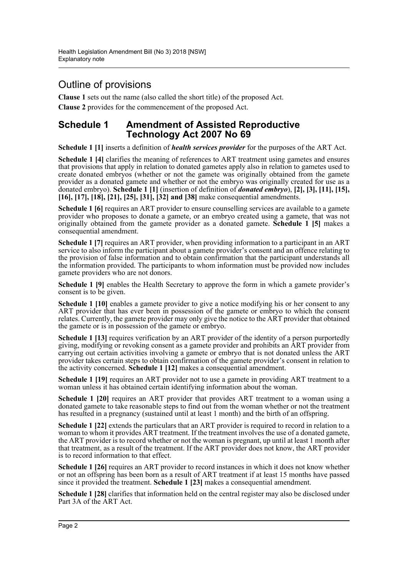## Outline of provisions

**Clause 1** sets out the name (also called the short title) of the proposed Act. **Clause 2** provides for the commencement of the proposed Act.

## **Schedule 1 Amendment of Assisted Reproductive Technology Act 2007 No 69**

**Schedule 1 [1]** inserts a definition of *health services provider* for the purposes of the ART Act.

**Schedule 1 [4]** clarifies the meaning of references to ART treatment using gametes and ensures that provisions that apply in relation to donated gametes apply also in relation to gametes used to create donated embryos (whether or not the gamete was originally obtained from the gamete provider as a donated gamete and whether or not the embryo was originally created for use as a donated embryo). **Schedule 1 [1]** (insertion of definition of *donated embryo*), **[2], [3], [11], [15], [16], [17], [18], [21], [25], [31], [32] and [38]** make consequential amendments.

**Schedule 1 [6]** requires an ART provider to ensure counselling services are available to a gamete provider who proposes to donate a gamete, or an embryo created using a gamete, that was not originally obtained from the gamete provider as a donated gamete. **Schedule 1 [5]** makes a consequential amendment.

**Schedule 1 [7]** requires an ART provider, when providing information to a participant in an ART service to also inform the participant about a gamete provider's consent and an offence relating to the provision of false information and to obtain confirmation that the participant understands all the information provided. The participants to whom information must be provided now includes gamete providers who are not donors.

**Schedule 1 [9]** enables the Health Secretary to approve the form in which a gamete provider's consent is to be given.

**Schedule 1 [10]** enables a gamete provider to give a notice modifying his or her consent to any ART provider that has ever been in possession of the gamete or embryo to which the consent relates. Currently, the gamete provider may only give the notice to the ART provider that obtained the gamete or is in possession of the gamete or embryo.

**Schedule 1 [13] requires verification by an ART provider of the identity of a person purportedly** giving, modifying or revoking consent as a gamete provider and prohibits an ART provider from carrying out certain activities involving a gamete or embryo that is not donated unless the ART provider takes certain steps to obtain confirmation of the gamete provider's consent in relation to the activity concerned. **Schedule 1 [12]** makes a consequential amendment.

**Schedule 1 [19]** requires an ART provider not to use a gamete in providing ART treatment to a woman unless it has obtained certain identifying information about the woman.

**Schedule 1 [20]** requires an ART provider that provides ART treatment to a woman using a donated gamete to take reasonable steps to find out from the woman whether or not the treatment has resulted in a pregnancy (sustained until at least 1 month) and the birth of an offspring.

**Schedule 1 [22]** extends the particulars that an ART provider is required to record in relation to a woman to whom it provides ART treatment. If the treatment involves the use of a donated gamete, the ART provider is to record whether or not the woman is pregnant, up until at least 1 month after that treatment, as a result of the treatment. If the ART provider does not know, the ART provider is to record information to that effect.

**Schedule 1 [26]** requires an ART provider to record instances in which it does not know whether or not an offspring has been born as a result of ART treatment if at least 15 months have passed since it provided the treatment. **Schedule 1 [23]** makes a consequential amendment.

**Schedule 1 [28]** clarifies that information held on the central register may also be disclosed under Part 3A of the ART Act.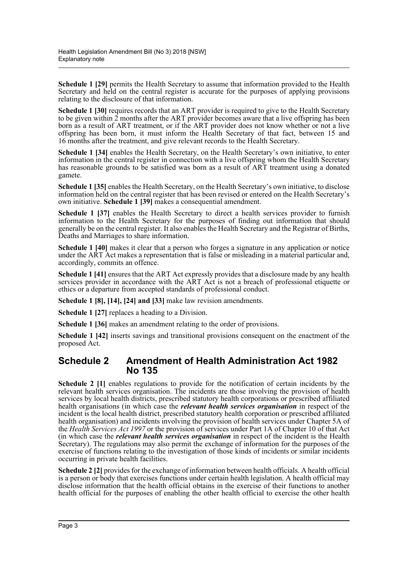**Schedule 1 [29]** permits the Health Secretary to assume that information provided to the Health Secretary and held on the central register is accurate for the purposes of applying provisions relating to the disclosure of that information.

**Schedule 1 [30]** requires records that an ART provider is required to give to the Health Secretary to be given within 2 months after the ART provider becomes aware that a live offspring has been born as a result of ART treatment, or if the ART provider does not know whether or not a live offspring has been born, it must inform the Health Secretary of that fact, between 15 and 16 months after the treatment, and give relevant records to the Health Secretary.

**Schedule 1 [34]** enables the Health Secretary, on the Health Secretary's own initiative, to enter information in the central register in connection with a live offspring whom the Health Secretary has reasonable grounds to be satisfied was born as a result of ART treatment using a donated gamete.

**Schedule 1 [35]** enables the Health Secretary, on the Health Secretary's own initiative, to disclose information held on the central register that has been revised or entered on the Health Secretary's own initiative. **Schedule 1 [39]** makes a consequential amendment.

**Schedule 1 [37]** enables the Health Secretary to direct a health services provider to furnish information to the Health Secretary for the purposes of finding out information that should generally be on the central register. It also enables the Health Secretary and the Registrar of Births, Deaths and Marriages to share information.

**Schedule 1 [40]** makes it clear that a person who forges a signature in any application or notice under the ART Act makes a representation that is false or misleading in a material particular and, accordingly, commits an offence.

**Schedule 1 [41]** ensures that the ART Act expressly provides that a disclosure made by any health services provider in accordance with the ART Act is not a breach of professional etiquette or ethics or a departure from accepted standards of professional conduct.

**Schedule 1 [8], [14], [24] and [33]** make law revision amendments.

**Schedule 1 [27]** replaces a heading to a Division.

**Schedule 1 [36]** makes an amendment relating to the order of provisions.

**Schedule 1 [42]** inserts savings and transitional provisions consequent on the enactment of the proposed Act.

## **Schedule 2 Amendment of Health Administration Act 1982 No 135**

**Schedule 2** [1] enables regulations to provide for the notification of certain incidents by the relevant health services organisation. The incidents are those involving the provision of health services by local health districts, prescribed statutory health corporations or prescribed affiliated health organisations (in which case the *relevant health services organisation* in respect of the incident is the local health district, prescribed statutory health corporation or prescribed affiliated health organisation) and incidents involving the provision of health services under Chapter 5A of the *Health Services Act 1997* or the provision of services under Part 1A of Chapter 10 of that Act (in which case the *relevant health services organisation* in respect of the incident is the Health Secretary). The regulations may also permit the exchange of information for the purposes of the exercise of functions relating to the investigation of those kinds of incidents or similar incidents occurring in private health facilities.

**Schedule 2 [2]** provides for the exchange of information between health officials. A health official is a person or body that exercises functions under certain health legislation. A health official may disclose information that the health official obtains in the exercise of their functions to another health official for the purposes of enabling the other health official to exercise the other health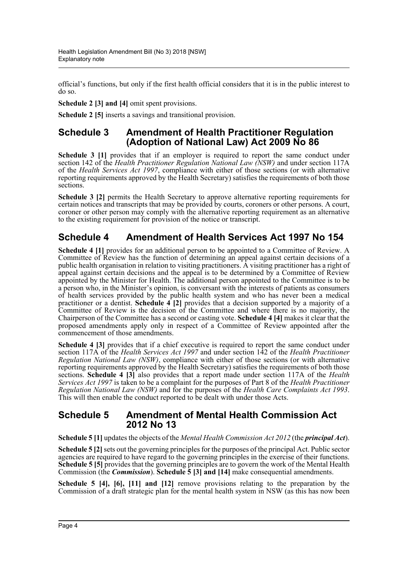official's functions, but only if the first health official considers that it is in the public interest to do so.

**Schedule 2 [3] and [4]** omit spent provisions.

**Schedule 2 [5]** inserts a savings and transitional provision.

## **Schedule 3 Amendment of Health Practitioner Regulation (Adoption of National Law) Act 2009 No 86**

**Schedule 3 [1]** provides that if an employer is required to report the same conduct under section 142 of the *Health Practitioner Regulation National Law (NSW)* and under section 117A of the *Health Services Act 1997*, compliance with either of those sections (or with alternative reporting requirements approved by the Health Secretary) satisfies the requirements of both those sections.

**Schedule 3 [2]** permits the Health Secretary to approve alternative reporting requirements for certain notices and transcripts that may be provided by courts, coroners or other persons. A court, coroner or other person may comply with the alternative reporting requirement as an alternative to the existing requirement for provision of the notice or transcript.

## **Schedule 4 Amendment of Health Services Act 1997 No 154**

Schedule 4 [1] provides for an additional person to be appointed to a Committee of Review. A Committee of Review has the function of determining an appeal against certain decisions of a public health organisation in relation to visiting practitioners. A visiting practitioner has a right of appeal against certain decisions and the appeal is to be determined by a Committee of Review appointed by the Minister for Health. The additional person appointed to the Committee is to be a person who, in the Minister's opinion, is conversant with the interests of patients as consumers of health services provided by the public health system and who has never been a medical practitioner or a dentist. **Schedule 4 [2]** provides that a decision supported by a majority of a Committee of Review is the decision of the Committee and where there is no majority, the Chairperson of the Committee has a second or casting vote. **Schedule 4 [4]** makes it clear that the proposed amendments apply only in respect of a Committee of Review appointed after the commencement of those amendments.

**Schedule 4 [3]** provides that if a chief executive is required to report the same conduct under section 117A of the *Health Services Act 1997* and under section 142 of the *Health Practitioner Regulation National Law (NSW)*, compliance with either of those sections (or with alternative reporting requirements approved by the Health Secretary) satisfies the requirements of both those sections. **Schedule 4 [3]** also provides that a report made under section 117A of the *Health Services Act 1997* is taken to be a complaint for the purposes of Part 8 of the *Health Practitioner Regulation National Law (NSW)* and for the purposes of the *Health Care Complaints Act 1993*. This will then enable the conduct reported to be dealt with under those Acts.

### **Schedule 5 Amendment of Mental Health Commission Act 2012 No 13**

**Schedule 5 [1]** updates the objects of the *Mental Health Commission Act 2012* (the *principal Act*).

**Schedule 5 [2]** sets out the governing principles for the purposes of the principal Act. Public sector agencies are required to have regard to the governing principles in the exercise of their functions. **Schedule 5 [5]** provides that the governing principles are to govern the work of the Mental Health Commission (the *Commission*). **Schedule 5 [3] and [14]** make consequential amendments.

**Schedule 5 [4], [6], [11] and [12]** remove provisions relating to the preparation by the Commission of a draft strategic plan for the mental health system in NSW (as this has now been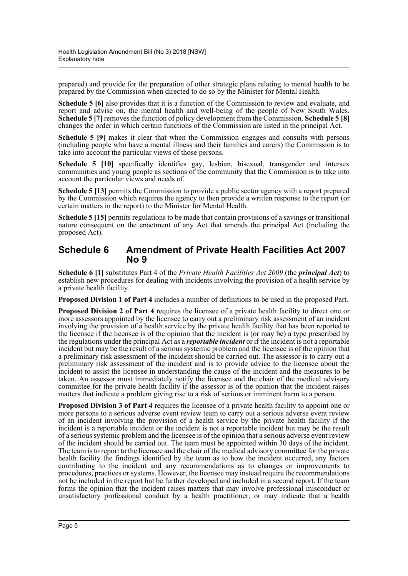prepared) and provide for the preparation of other strategic plans relating to mental health to be prepared by the Commission when directed to do so by the Minister for Mental Health.

**Schedule 5 [6]** also provides that it is a function of the Commission to review and evaluate, and report and advise on, the mental health and well-being of the people of New South Wales. **Schedule 5 [7]** removes the function of policy development from the Commission. **Schedule 5 [8]** changes the order in which certain functions of the Commission are listed in the principal Act.

**Schedule 5 [9]** makes it clear that when the Commission engages and consults with persons (including people who have a mental illness and their families and carers) the Commission is to take into account the particular views of those persons.

**Schedule 5 [10]** specifically identifies gay, lesbian, bisexual, transgender and intersex communities and young people as sections of the community that the Commission is to take into account the particular views and needs of.

**Schedule 5 [13]** permits the Commission to provide a public sector agency with a report prepared by the Commission which requires the agency to then provide a written response to the report (or certain matters in the report) to the Minister for Mental Health.

**Schedule 5 [15]** permits regulations to be made that contain provisions of a savings or transitional nature consequent on the enactment of any Act that amends the principal Act (including the proposed Act).

### **Schedule 6 Amendment of Private Health Facilities Act 2007 No 9**

**Schedule 6 [1]** substitutes Part 4 of the *Private Health Facilities Act 2009* (the *principal Act*) to establish new procedures for dealing with incidents involving the provision of a health service by a private health facility.

**Proposed Division 1 of Part 4** includes a number of definitions to be used in the proposed Part.

**Proposed Division 2 of Part 4** requires the licensee of a private health facility to direct one or more assessors appointed by the licensee to carry out a preliminary risk assessment of an incident involving the provision of a health service by the private health facility that has been reported to the licensee if the licensee is of the opinion that the incident is (or may be) a type prescribed by the regulations under the principal Act as a *reportable incident* or if the incident is not a reportable incident but may be the result of a serious systemic problem and the licensee is of the opinion that a preliminary risk assessment of the incident should be carried out. The assessor is to carry out a preliminary risk assessment of the incident and is to provide advice to the licensee about the incident to assist the licensee in understanding the cause of the incident and the measures to be taken. An assessor must immediately notify the licensee and the chair of the medical advisory committee for the private health facility if the assessor is of the opinion that the incident raises matters that indicate a problem giving rise to a risk of serious or imminent harm to a person.

**Proposed Division 3 of Part 4** requires the licensee of a private health facility to appoint one or more persons to a serious adverse event review team to carry out a serious adverse event review of an incident involving the provision of a health service by the private health facility if the incident is a reportable incident or the incident is not a reportable incident but may be the result of a serious systemic problem and the licensee is of the opinion that a serious adverse event review of the incident should be carried out. The team must be appointed within 30 days of the incident. The team is to report to the licensee and the chair of the medical advisory committee for the private health facility the findings identified by the team as to how the incident occurred, any factors contributing to the incident and any recommendations as to changes or improvements to procedures, practices or systems. However, the licensee may instead require the recommendations not be included in the report but be further developed and included in a second report. If the team forms the opinion that the incident raises matters that may involve professional misconduct or unsatisfactory professional conduct by a health practitioner, or may indicate that a health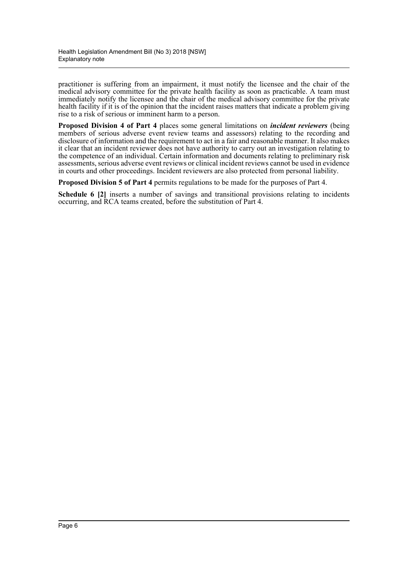practitioner is suffering from an impairment, it must notify the licensee and the chair of the medical advisory committee for the private health facility as soon as practicable. A team must immediately notify the licensee and the chair of the medical advisory committee for the private health facility if it is of the opinion that the incident raises matters that indicate a problem giving rise to a risk of serious or imminent harm to a person.

**Proposed Division 4 of Part 4** places some general limitations on *incident reviewers* (being members of serious adverse event review teams and assessors) relating to the recording and disclosure of information and the requirement to act in a fair and reasonable manner. It also makes it clear that an incident reviewer does not have authority to carry out an investigation relating to the competence of an individual. Certain information and documents relating to preliminary risk assessments, serious adverse event reviews or clinical incident reviews cannot be used in evidence in courts and other proceedings. Incident reviewers are also protected from personal liability.

**Proposed Division 5 of Part 4** permits regulations to be made for the purposes of Part 4.

**Schedule 6 [2]** inserts a number of savings and transitional provisions relating to incidents occurring, and RCA teams created, before the substitution of Part 4.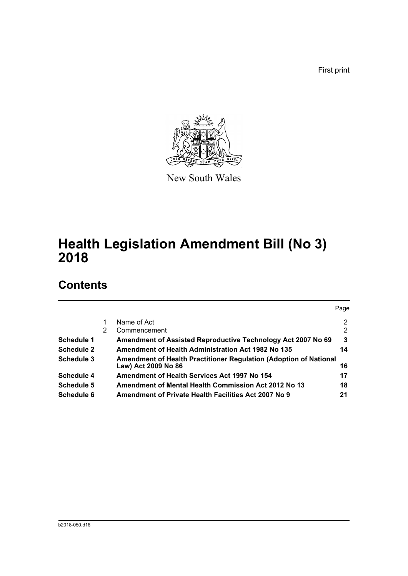First print



New South Wales

# **Health Legislation Amendment Bill (No 3) 2018**

## **Contents**

|   |                                                                                          | Page          |
|---|------------------------------------------------------------------------------------------|---------------|
|   | Name of Act                                                                              | 2             |
| 2 | Commencement                                                                             | $\mathcal{P}$ |
|   | Amendment of Assisted Reproductive Technology Act 2007 No 69                             | 3             |
|   | Amendment of Health Administration Act 1982 No 135                                       | 14            |
|   | Amendment of Health Practitioner Regulation (Adoption of National<br>Law) Act 2009 No 86 | 16            |
|   | Amendment of Health Services Act 1997 No 154                                             | 17            |
|   | <b>Amendment of Mental Health Commission Act 2012 No 13</b>                              | 18            |
|   | Amendment of Private Health Facilities Act 2007 No 9                                     | 21            |
|   |                                                                                          |               |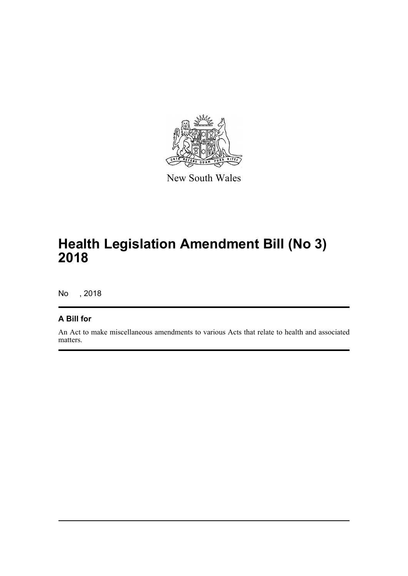

New South Wales

# **Health Legislation Amendment Bill (No 3) 2018**

No , 2018

## **A Bill for**

An Act to make miscellaneous amendments to various Acts that relate to health and associated matters.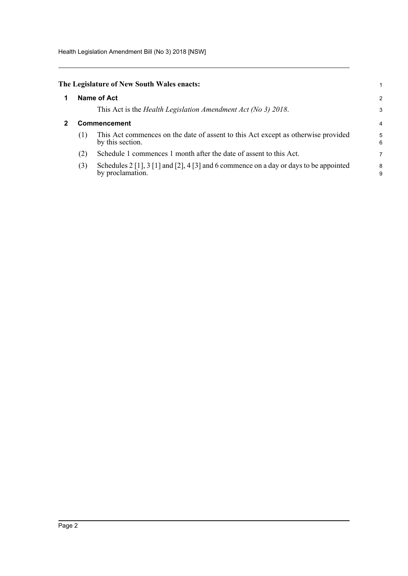Health Legislation Amendment Bill (No 3) 2018 [NSW]

<span id="page-8-0"></span>

|                | The Legislature of New South Wales enacts: |
|----------------|--------------------------------------------|
| $\blacksquare$ | Name of Act                                |

This Act is the *Health Legislation Amendment Act (No 3) 2018*.

### <span id="page-8-1"></span>**2 Commencement**

(1) This Act commences on the date of assent to this Act except as otherwise provided by this section.

1 2 3

- (2) Schedule 1 commences 1 month after the date of assent to this Act.
- (3) Schedules 2 [1], 3 [1] and [2], 4 [3] and 6 commence on a day or days to be appointed by proclamation.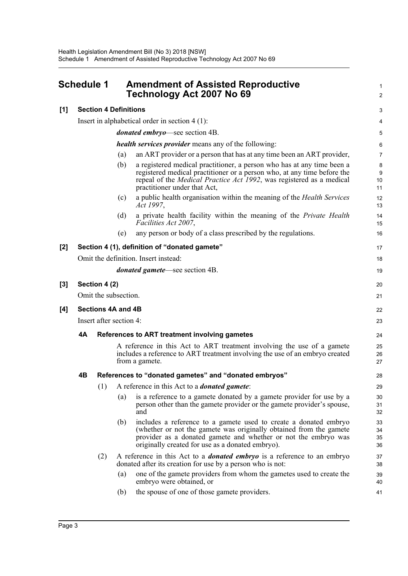<span id="page-9-0"></span>

|       | Schedule 1<br><b>Amendment of Assisted Reproductive</b><br>Technology Act 2007 No 69 |                              | 1<br>$\overline{c}$ |                                                                                                                                                                                                                                                                   |                      |  |  |
|-------|--------------------------------------------------------------------------------------|------------------------------|---------------------|-------------------------------------------------------------------------------------------------------------------------------------------------------------------------------------------------------------------------------------------------------------------|----------------------|--|--|
| [1]   |                                                                                      | <b>Section 4 Definitions</b> |                     |                                                                                                                                                                                                                                                                   | 3                    |  |  |
|       |                                                                                      |                              |                     | Insert in alphabetical order in section $4(1)$ :                                                                                                                                                                                                                  | 4                    |  |  |
|       |                                                                                      |                              |                     | <i>donated embryo</i> —see section 4B.                                                                                                                                                                                                                            | 5                    |  |  |
|       |                                                                                      |                              |                     | <i>health services provider</i> means any of the following:                                                                                                                                                                                                       | 6                    |  |  |
|       |                                                                                      |                              | (a)                 | an ART provider or a person that has at any time been an ART provider,                                                                                                                                                                                            | $\overline{7}$       |  |  |
|       |                                                                                      |                              | (b)                 | a registered medical practitioner, a person who has at any time been a<br>registered medical practitioner or a person who, at any time before the<br>repeal of the <i>Medical Practice Act 1992</i> , was registered as a medical<br>practitioner under that Act, | 8<br>9<br>10<br>11   |  |  |
|       |                                                                                      |                              | (c)                 | a public health organisation within the meaning of the <i>Health Services</i><br>Act 1997,                                                                                                                                                                        | 12<br>13             |  |  |
|       |                                                                                      |                              | (d)                 | a private health facility within the meaning of the Private Health<br>Facilities Act 2007,                                                                                                                                                                        | 14<br>15             |  |  |
|       |                                                                                      |                              | (e)                 | any person or body of a class prescribed by the regulations.                                                                                                                                                                                                      | 16                   |  |  |
| [2]   |                                                                                      |                              |                     | Section 4 (1), definition of "donated gamete"                                                                                                                                                                                                                     | 17                   |  |  |
|       | Omit the definition. Insert instead:                                                 |                              |                     |                                                                                                                                                                                                                                                                   |                      |  |  |
|       | <i>donated gamete</i> —see section 4B.                                               |                              |                     |                                                                                                                                                                                                                                                                   |                      |  |  |
| $[3]$ |                                                                                      | Section 4 (2)                |                     |                                                                                                                                                                                                                                                                   | 20                   |  |  |
|       |                                                                                      | Omit the subsection.         |                     |                                                                                                                                                                                                                                                                   | 21                   |  |  |
| [4]   | Sections 4A and 4B                                                                   |                              |                     |                                                                                                                                                                                                                                                                   |                      |  |  |
|       | Insert after section 4:                                                              |                              |                     |                                                                                                                                                                                                                                                                   |                      |  |  |
|       | 4A<br>References to ART treatment involving gametes                                  |                              |                     |                                                                                                                                                                                                                                                                   |                      |  |  |
|       |                                                                                      |                              |                     | A reference in this Act to ART treatment involving the use of a gamete<br>includes a reference to ART treatment involving the use of an embryo created<br>from a gamete.                                                                                          | 24<br>25<br>26<br>27 |  |  |
|       | 4B                                                                                   |                              |                     | References to "donated gametes" and "donated embryos"                                                                                                                                                                                                             | 28                   |  |  |
|       |                                                                                      | (1)                          |                     | A reference in this Act to a <i>donated gamete</i> :                                                                                                                                                                                                              | 29                   |  |  |
|       |                                                                                      |                              | (a)                 | is a reference to a gamete donated by a gamete provider for use by a<br>person other than the gamete provider or the gamete provider's spouse,<br>and                                                                                                             | 30<br>31<br>32       |  |  |
|       |                                                                                      |                              | (b)                 | includes a reference to a gamete used to create a donated embryo<br>(whether or not the gamete was originally obtained from the gamete<br>provider as a donated gamete and whether or not the embryo was<br>originally created for use as a donated embryo).      | 33<br>34<br>35<br>36 |  |  |
|       |                                                                                      | (2)                          |                     | A reference in this Act to a <i>donated embryo</i> is a reference to an embryo<br>donated after its creation for use by a person who is not:                                                                                                                      | 37<br>38             |  |  |
|       |                                                                                      |                              | (a)                 | one of the gamete providers from whom the gametes used to create the<br>embryo were obtained, or                                                                                                                                                                  | 39<br>40             |  |  |
|       |                                                                                      |                              | (b)                 | the spouse of one of those gamete providers.                                                                                                                                                                                                                      | 41                   |  |  |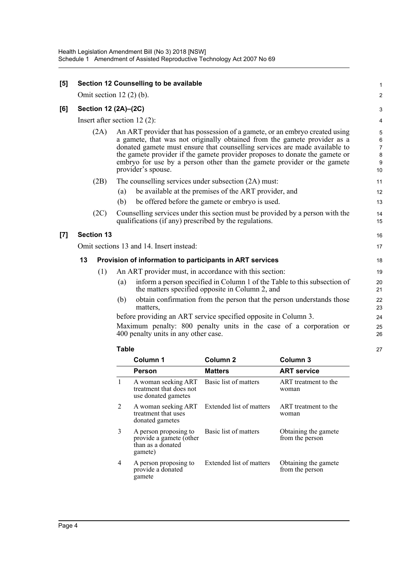| [5] |                   | Section 12 Counselling to be available                                                                                                                                                                                                                                                                                                                                                                                | 1                           |
|-----|-------------------|-----------------------------------------------------------------------------------------------------------------------------------------------------------------------------------------------------------------------------------------------------------------------------------------------------------------------------------------------------------------------------------------------------------------------|-----------------------------|
|     |                   | Omit section $12(2)$ (b).                                                                                                                                                                                                                                                                                                                                                                                             | 2                           |
| [6] |                   | Section 12 (2A)-(2C)                                                                                                                                                                                                                                                                                                                                                                                                  | 3                           |
|     |                   | Insert after section $12(2)$ :                                                                                                                                                                                                                                                                                                                                                                                        | 4                           |
|     | (2A)              | An ART provider that has possession of a gamete, or an embryo created using<br>a gamete, that was not originally obtained from the gamete provider as a<br>donated gamete must ensure that counselling services are made available to<br>the gamete provider if the gamete provider proposes to donate the gamete or<br>embryo for use by a person other than the gamete provider or the gamete<br>provider's spouse. | 5<br>6<br>7<br>8<br>9<br>10 |
|     | (2B)              | The counselling services under subsection (2A) must:                                                                                                                                                                                                                                                                                                                                                                  | 11                          |
|     |                   | be available at the premises of the ART provider, and<br>(a)                                                                                                                                                                                                                                                                                                                                                          | 12                          |
|     |                   | (b)<br>be offered before the gamete or embryo is used.                                                                                                                                                                                                                                                                                                                                                                | 13                          |
|     | (2C)              | Counselling services under this section must be provided by a person with the<br>qualifications (if any) prescribed by the regulations.                                                                                                                                                                                                                                                                               | 14<br>15                    |
| [7] | <b>Section 13</b> |                                                                                                                                                                                                                                                                                                                                                                                                                       | 16                          |
|     |                   | Omit sections 13 and 14. Insert instead:                                                                                                                                                                                                                                                                                                                                                                              | 17                          |
|     | 13                | Provision of information to participants in ART services                                                                                                                                                                                                                                                                                                                                                              | 18                          |
|     | (1)               | An ART provider must, in accordance with this section:                                                                                                                                                                                                                                                                                                                                                                | 19                          |
|     |                   | inform a person specified in Column 1 of the Table to this subsection of<br>(a)<br>the matters specified opposite in Column 2, and                                                                                                                                                                                                                                                                                    | 20<br>21                    |
|     |                   | obtain confirmation from the person that the person understands those<br>(b)<br>matters.                                                                                                                                                                                                                                                                                                                              | 22<br>23                    |
|     |                   | before providing an ART service specified opposite in Column 3.                                                                                                                                                                                                                                                                                                                                                       | 24                          |
|     |                   | Maximum penalty: 800 penalty units in the case of a corporation or<br>400 penalty units in any other case.                                                                                                                                                                                                                                                                                                            | 25<br>26                    |
|     |                   | <b>Table</b>                                                                                                                                                                                                                                                                                                                                                                                                          | 27                          |
|     |                   |                                                                                                                                                                                                                                                                                                                                                                                                                       |                             |

|   | Column 1                                                                               | Column <sub>2</sub>      | Column <sub>3</sub>                     |
|---|----------------------------------------------------------------------------------------|--------------------------|-----------------------------------------|
|   | Person                                                                                 | <b>Matters</b>           | <b>ART service</b>                      |
| 1 | A woman seeking ART<br>treatment that does not<br>use donated gametes                  | Basic list of matters    | ART treatment to the<br>woman           |
| 2 | A woman seeking ART Extended list of matters<br>treatment that uses<br>donated gametes |                          | ART treatment to the<br>woman           |
| 3 | A person proposing to<br>provide a gamete (other<br>than as a donated<br>gamete)       | Basic list of matters    | Obtaining the gamete<br>from the person |
| 4 | A person proposing to<br>provide a donated<br>gamete                                   | Extended list of matters | Obtaining the gamete<br>from the person |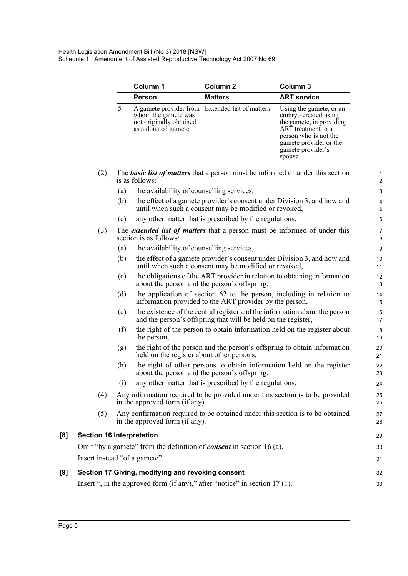|                                  |     | Column 1                                                              | Column <sub>2</sub>                                                           | Column 3                                                                                                                                                                            |
|----------------------------------|-----|-----------------------------------------------------------------------|-------------------------------------------------------------------------------|-------------------------------------------------------------------------------------------------------------------------------------------------------------------------------------|
|                                  |     | <b>Person</b>                                                         | <b>Matters</b>                                                                | <b>ART service</b>                                                                                                                                                                  |
|                                  | 5   | whom the gamete was<br>not originally obtained<br>as a donated gamete | A gamete provider from Extended list of matters                               | Using the gamete, or an<br>embryo created using<br>the gamete, in providing<br>ART treatment to a<br>person who is not the<br>gamete provider or the<br>gamete provider's<br>spouse |
| (2)                              |     | is as follows:                                                        |                                                                               | The <b>basic list of matters</b> that a person must be informed of under this section                                                                                               |
|                                  | (a) | the availability of counselling services,                             |                                                                               |                                                                                                                                                                                     |
|                                  | (b) |                                                                       | until when such a consent may be modified or revoked,                         | the effect of a gamete provider's consent under Division 3, and how and                                                                                                             |
|                                  | (c) |                                                                       | any other matter that is prescribed by the regulations.                       |                                                                                                                                                                                     |
| (3)                              |     | section is as follows:                                                |                                                                               | The <i>extended list of matters</i> that a person must be informed of under this                                                                                                    |
|                                  | (a) | the availability of counselling services,                             |                                                                               |                                                                                                                                                                                     |
|                                  | (b) |                                                                       | until when such a consent may be modified or revoked,                         | the effect of a gamete provider's consent under Division 3, and how and                                                                                                             |
|                                  | (c) |                                                                       | about the person and the person's offspring,                                  | the obligations of the ART provider in relation to obtaining information                                                                                                            |
|                                  | (d) |                                                                       | information provided to the ART provider by the person,                       | the application of section 62 to the person, including in relation to                                                                                                               |
|                                  | (e) |                                                                       | and the person's offspring that will be held on the register,                 | the existence of the central register and the information about the person                                                                                                          |
|                                  | (f) | the person,                                                           |                                                                               | the right of the person to obtain information held on the register about                                                                                                            |
|                                  | (g) | held on the register about other persons,                             |                                                                               | the right of the person and the person's offspring to obtain information                                                                                                            |
|                                  | (h) |                                                                       | about the person and the person's offspring,                                  | the right of other persons to obtain information held on the register                                                                                                               |
|                                  | (i) |                                                                       | any other matter that is prescribed by the regulations.                       |                                                                                                                                                                                     |
| (4)                              |     | in the approved form (if any).                                        |                                                                               | Any information required to be provided under this section is to be provided                                                                                                        |
| (5)                              |     | in the approved form (if any).                                        |                                                                               | Any confirmation required to be obtained under this section is to be obtained                                                                                                       |
| <b>Section 16 Interpretation</b> |     |                                                                       |                                                                               |                                                                                                                                                                                     |
|                                  |     |                                                                       | Omit "by a gamete" from the definition of <i>consent</i> in section 16 (a).   |                                                                                                                                                                                     |
|                                  |     | Insert instead "of a gamete".                                         |                                                                               |                                                                                                                                                                                     |
|                                  |     | Section 17 Giving, modifying and revoking consent                     |                                                                               |                                                                                                                                                                                     |
|                                  |     |                                                                       | Insert ", in the approved form (if any)," after "notice" in section $17(1)$ . |                                                                                                                                                                                     |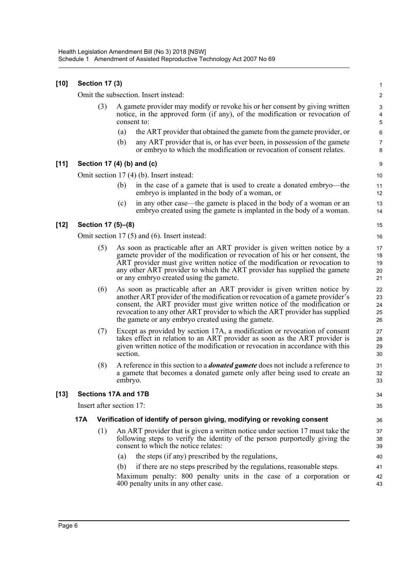| [10]   |     | <b>Section 17 (3)</b> |                          |                                                                                                                                                                                                                                                                                                                                                                            | $\mathbf{1}$                                |
|--------|-----|-----------------------|--------------------------|----------------------------------------------------------------------------------------------------------------------------------------------------------------------------------------------------------------------------------------------------------------------------------------------------------------------------------------------------------------------------|---------------------------------------------|
|        |     |                       |                          | Omit the subsection. Insert instead:                                                                                                                                                                                                                                                                                                                                       | $\overline{c}$                              |
|        |     | (3)                   |                          | A gamete provider may modify or revoke his or her consent by giving written<br>notice, in the approved form (if any), of the modification or revocation of<br>consent to:                                                                                                                                                                                                  | 3<br>$\overline{\mathbf{4}}$<br>$\mathbf 5$ |
|        |     |                       | (a)                      | the ART provider that obtained the gamete from the gamete provider, or                                                                                                                                                                                                                                                                                                     | 6                                           |
|        |     |                       | (b)                      | any ART provider that is, or has ever been, in possession of the gamete<br>or embryo to which the modification or revocation of consent relates.                                                                                                                                                                                                                           | $\overline{7}$<br>8                         |
| $[11]$ |     |                       |                          | Section 17 (4) (b) and (c)                                                                                                                                                                                                                                                                                                                                                 | $\boldsymbol{9}$                            |
|        |     |                       |                          | Omit section 17 (4) (b). Insert instead:                                                                                                                                                                                                                                                                                                                                   | 10                                          |
|        |     |                       | (b)                      | in the case of a gamete that is used to create a donated embryo—the<br>embryo is implanted in the body of a woman, or                                                                                                                                                                                                                                                      | 11<br>12                                    |
|        |     |                       | (c)                      | in any other case—the gamete is placed in the body of a woman or an<br>embryo created using the gamete is implanted in the body of a woman.                                                                                                                                                                                                                                | 13<br>14                                    |
| [12]   |     |                       | Section 17 (5)-(8)       |                                                                                                                                                                                                                                                                                                                                                                            | 15                                          |
|        |     |                       |                          | Omit section $17(5)$ and $(6)$ . Insert instead:                                                                                                                                                                                                                                                                                                                           | 16                                          |
|        |     | (5)                   |                          | As soon as practicable after an ART provider is given written notice by a<br>gamete provider of the modification or revocation of his or her consent, the<br>ART provider must give written notice of the modification or revocation to<br>any other ART provider to which the ART provider has supplied the gamete<br>or any embryo created using the gamete.             | 17<br>18<br>19<br>20<br>21                  |
|        |     | (6)                   |                          | As soon as practicable after an ART provider is given written notice by<br>another ART provider of the modification or revocation of a gamete provider's<br>consent, the ART provider must give written notice of the modification or<br>revocation to any other ART provider to which the ART provider has supplied<br>the gamete or any embryo created using the gamete. | 22<br>23<br>24<br>25<br>26                  |
|        |     | (7)                   | section.                 | Except as provided by section 17A, a modification or revocation of consent<br>takes effect in relation to an ART provider as soon as the ART provider is<br>given written notice of the modification or revocation in accordance with this                                                                                                                                 | 27<br>28<br>29<br>30                        |
|        |     | (8)                   | embryo.                  | A reference in this section to a <i>donated gamete</i> does not include a reference to<br>a gamete that becomes a donated gamete only after being used to create an                                                                                                                                                                                                        | 31<br>32<br>33                              |
| [13]   |     |                       | Sections 17A and 17B     |                                                                                                                                                                                                                                                                                                                                                                            | 34                                          |
|        |     |                       | Insert after section 17: |                                                                                                                                                                                                                                                                                                                                                                            | 35                                          |
|        | 17A |                       |                          | Verification of identify of person giving, modifying or revoking consent                                                                                                                                                                                                                                                                                                   | 36                                          |
|        |     | (1)                   |                          | An ART provider that is given a written notice under section 17 must take the<br>following steps to verify the identity of the person purportedly giving the<br>consent to which the notice relates:                                                                                                                                                                       | 37<br>38<br>39                              |
|        |     |                       | (a)                      | the steps (if any) prescribed by the regulations,                                                                                                                                                                                                                                                                                                                          | 40                                          |
|        |     |                       | (b)                      | if there are no steps prescribed by the regulations, reasonable steps.                                                                                                                                                                                                                                                                                                     | 41                                          |
|        |     |                       |                          | Maximum penalty: 800 penalty units in the case of a corporation or<br>400 penalty units in any other case.                                                                                                                                                                                                                                                                 | 42<br>43                                    |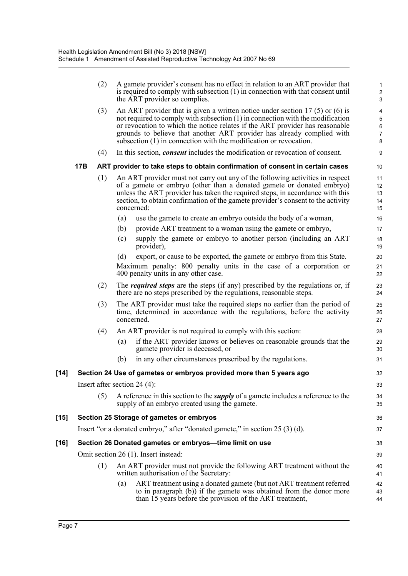|        |     | (2) |     | A gamete provider's consent has no effect in relation to an ART provider that<br>is required to comply with subsection $(1)$ in connection with that consent until<br>the ART provider so complies.                                                                                                                                                                                                | 1<br>$\overline{c}$<br>$\ensuremath{\mathsf{3}}$  |
|--------|-----|-----|-----|----------------------------------------------------------------------------------------------------------------------------------------------------------------------------------------------------------------------------------------------------------------------------------------------------------------------------------------------------------------------------------------------------|---------------------------------------------------|
|        |     | (3) |     | An ART provider that is given a written notice under section 17 (5) or (6) is<br>not required to comply with subsection $(1)$ in connection with the modification<br>or revocation to which the notice relates if the ART provider has reasonable<br>grounds to believe that another ART provider has already complied with<br>subsection $(1)$ in connection with the modification or revocation. | 4<br>$\sqrt{5}$<br>$\,6$<br>$\boldsymbol{7}$<br>8 |
|        |     | (4) |     | In this section, <i>consent</i> includes the modification or revocation of consent.                                                                                                                                                                                                                                                                                                                | $\boldsymbol{9}$                                  |
|        | 17B |     |     | ART provider to take steps to obtain confirmation of consent in certain cases                                                                                                                                                                                                                                                                                                                      | 10                                                |
|        |     | (1) |     | An ART provider must not carry out any of the following activities in respect<br>of a gamete or embryo (other than a donated gamete or donated embryo)<br>unless the ART provider has taken the required steps, in accordance with this<br>section, to obtain confirmation of the gamete provider's consent to the activity<br>concerned:                                                          | 11<br>12<br>13<br>14<br>15                        |
|        |     |     | (a) | use the gamete to create an embryo outside the body of a woman,                                                                                                                                                                                                                                                                                                                                    | 16                                                |
|        |     |     | (b) | provide ART treatment to a woman using the gamete or embryo,                                                                                                                                                                                                                                                                                                                                       | 17                                                |
|        |     |     | (c) | supply the gamete or embryo to another person (including an ART<br>provider),                                                                                                                                                                                                                                                                                                                      | 18<br>19                                          |
|        |     |     | (d) | export, or cause to be exported, the gamete or embryo from this State.                                                                                                                                                                                                                                                                                                                             | 20                                                |
|        |     |     |     | Maximum penalty: 800 penalty units in the case of a corporation or<br>400 penalty units in any other case.                                                                                                                                                                                                                                                                                         | 21<br>22                                          |
|        |     | (2) |     | The <i>required steps</i> are the steps (if any) prescribed by the regulations or, if<br>there are no steps prescribed by the regulations, reasonable steps.                                                                                                                                                                                                                                       | 23<br>24                                          |
|        |     | (3) |     | The ART provider must take the required steps no earlier than the period of<br>time, determined in accordance with the regulations, before the activity<br>concerned.                                                                                                                                                                                                                              | 25<br>26<br>27                                    |
|        |     | (4) |     | An ART provider is not required to comply with this section:                                                                                                                                                                                                                                                                                                                                       | 28                                                |
|        |     |     | (a) | if the ART provider knows or believes on reasonable grounds that the<br>gamete provider is deceased, or                                                                                                                                                                                                                                                                                            | 29<br>30                                          |
|        |     |     | (b) | in any other circumstances prescribed by the regulations.                                                                                                                                                                                                                                                                                                                                          | 31                                                |
| [14]   |     |     |     | Section 24 Use of gametes or embryos provided more than 5 years ago                                                                                                                                                                                                                                                                                                                                | 32                                                |
|        |     |     |     | Insert after section $24(4)$ :                                                                                                                                                                                                                                                                                                                                                                     | 33                                                |
|        |     | (5) |     | A reference in this section to the <i>supply</i> of a gamete includes a reference to the<br>supply of an embryo created using the gamete.                                                                                                                                                                                                                                                          | 34<br>35                                          |
| $[15]$ |     |     |     | Section 25 Storage of gametes or embryos                                                                                                                                                                                                                                                                                                                                                           | 36                                                |
|        |     |     |     | Insert "or a donated embryo," after "donated gamete," in section 25 (3) (d).                                                                                                                                                                                                                                                                                                                       | 37                                                |
| [16]   |     |     |     | Section 26 Donated gametes or embryos-time limit on use                                                                                                                                                                                                                                                                                                                                            | 38                                                |
|        |     |     |     | Omit section 26 (1). Insert instead:                                                                                                                                                                                                                                                                                                                                                               | 39                                                |
|        |     | (1) |     | An ART provider must not provide the following ART treatment without the<br>written authorisation of the Secretary:                                                                                                                                                                                                                                                                                | 40<br>41                                          |
|        |     |     | (a) | ART treatment using a donated gamete (but not ART treatment referred<br>to in paragraph (b)) if the gamete was obtained from the donor more<br>than 15 years before the provision of the ART treatment,                                                                                                                                                                                            | 42<br>43<br>44                                    |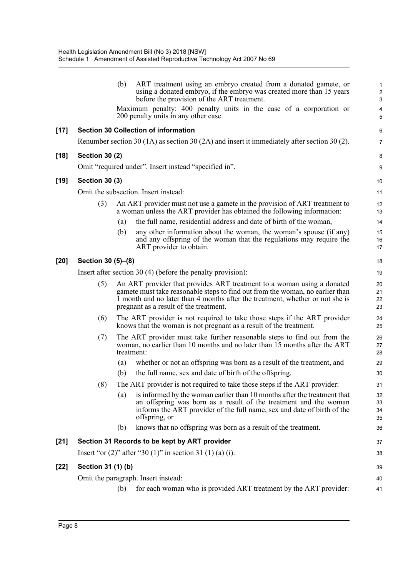|        |                       | (b)               | ART treatment using an embryo created from a donated gamete, or<br>using a donated embryo, if the embryo was created more than 15 years<br>before the provision of the ART treatment.                                                                                              | 1<br>$\overline{\mathbf{c}}$<br>3 |
|--------|-----------------------|-------------------|------------------------------------------------------------------------------------------------------------------------------------------------------------------------------------------------------------------------------------------------------------------------------------|-----------------------------------|
|        |                       |                   | Maximum penalty: 400 penalty units in the case of a corporation or<br>200 penalty units in any other case.                                                                                                                                                                         | 4<br>5                            |
| $[17]$ |                       |                   | <b>Section 30 Collection of information</b>                                                                                                                                                                                                                                        | 6                                 |
|        |                       |                   | Renumber section 30 (1A) as section 30 (2A) and insert it immediately after section 30 (2).                                                                                                                                                                                        | 7                                 |
| $[18]$ | <b>Section 30 (2)</b> |                   |                                                                                                                                                                                                                                                                                    | 8                                 |
|        |                       |                   | Omit "required under". Insert instead "specified in".                                                                                                                                                                                                                              | 9                                 |
| $[19]$ | <b>Section 30 (3)</b> |                   |                                                                                                                                                                                                                                                                                    | 10                                |
|        |                       |                   | Omit the subsection. Insert instead:                                                                                                                                                                                                                                               | 11                                |
|        | (3)                   |                   | An ART provider must not use a gamete in the provision of ART treatment to<br>a woman unless the ART provider has obtained the following information:                                                                                                                              | 12<br>13                          |
|        |                       | (a)               | the full name, residential address and date of birth of the woman,                                                                                                                                                                                                                 | 14                                |
|        |                       | (b)               | any other information about the woman, the woman's spouse (if any)<br>and any offspring of the woman that the regulations may require the<br>ART provider to obtain.                                                                                                               | 15<br>16<br>17                    |
| $[20]$ | Section 30 (5)-(8)    |                   |                                                                                                                                                                                                                                                                                    | 18                                |
|        |                       |                   | Insert after section 30 $(4)$ (before the penalty provision):                                                                                                                                                                                                                      | 19                                |
|        | (5)                   |                   | An ART provider that provides ART treatment to a woman using a donated<br>gamete must take reasonable steps to find out from the woman, no earlier than<br>1 month and no later than 4 months after the treatment, whether or not she is<br>pregnant as a result of the treatment. | 20<br>21<br>22<br>23              |
|        | (6)                   |                   | The ART provider is not required to take those steps if the ART provider<br>knows that the woman is not pregnant as a result of the treatment.                                                                                                                                     | 24<br>25                          |
|        | (7)                   |                   | The ART provider must take further reasonable steps to find out from the<br>woman, no earlier than 10 months and no later than 15 months after the ART<br>treatment:                                                                                                               | 26<br>27<br>28                    |
|        |                       | (a)               | whether or not an offspring was born as a result of the treatment, and                                                                                                                                                                                                             | 29                                |
|        |                       | (b)               | the full name, sex and date of birth of the offspring.                                                                                                                                                                                                                             | 30                                |
|        | (8)                   |                   | The ART provider is not required to take those steps if the ART provider:                                                                                                                                                                                                          | 31                                |
|        |                       | $\left( a\right)$ | is informed by the woman earlier than 10 months after the treatment that<br>an offspring was born as a result of the treatment and the woman<br>informs the ART provider of the full name, sex and date of birth of the<br>offspring, or                                           | 32<br>33<br>34<br>35              |
|        |                       | (b)               | knows that no offspring was born as a result of the treatment.                                                                                                                                                                                                                     | 36                                |
| $[21]$ |                       |                   | Section 31 Records to be kept by ART provider                                                                                                                                                                                                                                      | 37                                |
|        |                       |                   | Insert "or $(2)$ " after "30 $(1)$ " in section 31 $(1)$ $(a)$ $(i)$ .                                                                                                                                                                                                             | 38                                |
| $[22]$ | Section 31 (1) (b)    |                   |                                                                                                                                                                                                                                                                                    | 39                                |
|        |                       |                   | Omit the paragraph. Insert instead:                                                                                                                                                                                                                                                | 40                                |
|        |                       | (b)               | for each woman who is provided ART treatment by the ART provider:                                                                                                                                                                                                                  | 41                                |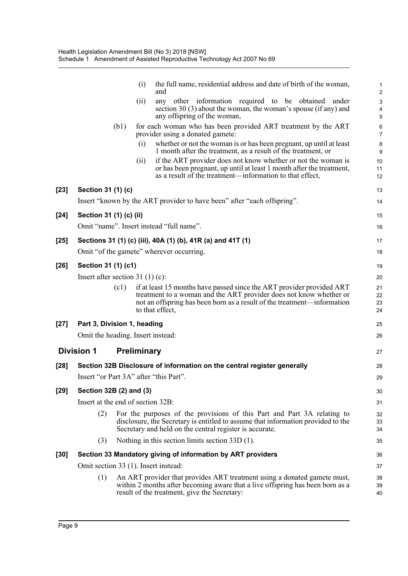|        |                                        |      | (i)         | the full name, residential address and date of birth of the woman,<br>and                                                                                                                                                                 | 1<br>$\overline{c}$  |
|--------|----------------------------------------|------|-------------|-------------------------------------------------------------------------------------------------------------------------------------------------------------------------------------------------------------------------------------------|----------------------|
|        |                                        |      | (ii)        | any other information required to be obtained under                                                                                                                                                                                       | 3                    |
|        |                                        |      |             | section 30 $(3)$ about the woman, the woman's spouse (if any) and<br>any offspring of the woman,                                                                                                                                          | 4<br>5               |
|        |                                        | (b1) |             | for each woman who has been provided ART treatment by the ART<br>provider using a donated gamete:                                                                                                                                         | 6<br>$\overline{7}$  |
|        |                                        |      | (i)         | whether or not the woman is or has been pregnant, up until at least<br>1 month after the treatment, as a result of the treatment, or                                                                                                      | 8<br>9               |
|        |                                        |      | (i)         | if the ART provider does not know whether or not the woman is<br>or has been pregnant, up until at least 1 month after the treatment,<br>as a result of the treatment—information to that effect,                                         | 10<br>11<br>12       |
| $[23]$ | Section 31 (1) (c)                     |      |             |                                                                                                                                                                                                                                           | 13                   |
|        |                                        |      |             | Insert "known by the ART provider to have been" after "each offspring".                                                                                                                                                                   | 14                   |
| $[24]$ | Section 31 (1) (c) (ii)                |      |             |                                                                                                                                                                                                                                           | 15                   |
|        |                                        |      |             | Omit "name". Insert instead "full name".                                                                                                                                                                                                  | 16                   |
| $[25]$ |                                        |      |             | Sections 31 (1) (c) (iii), 40A (1) (b), 41R (a) and 41T (1)                                                                                                                                                                               | 17                   |
|        |                                        |      |             | Omit "of the gamete" wherever occurring.                                                                                                                                                                                                  | 18                   |
| $[26]$ | Section 31 (1) (c1)                    |      |             |                                                                                                                                                                                                                                           | 19                   |
|        | Insert after section 31 (1) (c):       |      |             |                                                                                                                                                                                                                                           | 20                   |
|        |                                        | (c1) |             | if at least 15 months have passed since the ART provider provided ART<br>treatment to a woman and the ART provider does not know whether or<br>not an offspring has been born as a result of the treatment—information<br>to that effect, | 21<br>22<br>23<br>24 |
| $[27]$ | Part 3, Division 1, heading            |      |             |                                                                                                                                                                                                                                           | 25                   |
|        | Omit the heading. Insert instead:      |      |             |                                                                                                                                                                                                                                           | 26                   |
|        | <b>Division 1</b>                      |      | Preliminary |                                                                                                                                                                                                                                           | 27                   |
| $[28]$ |                                        |      |             | Section 32B Disclosure of information on the central register generally                                                                                                                                                                   | 28                   |
|        | Insert "or Part 3A" after "this Part". |      |             |                                                                                                                                                                                                                                           | 29                   |
| $[29]$ | Section 32B (2) and (3)                |      |             |                                                                                                                                                                                                                                           | 30                   |
|        | Insert at the end of section 32B:      |      |             |                                                                                                                                                                                                                                           | 31                   |
|        | (2)                                    |      |             | For the purposes of the provisions of this Part and Part 3A relating to<br>disclosure, the Secretary is entitled to assume that information provided to the<br>Secretary and held on the central register is accurate.                    | 32<br>33<br>34       |
|        | (3)                                    |      |             | Nothing in this section limits section $33D(1)$ .                                                                                                                                                                                         | 35                   |
| $[30]$ |                                        |      |             | Section 33 Mandatory giving of information by ART providers                                                                                                                                                                               | 36                   |
|        | Omit section 33 (1). Insert instead:   |      |             |                                                                                                                                                                                                                                           | 37                   |
|        | (1)                                    |      |             | An ART provider that provides ART treatment using a donated gamete must,<br>within 2 months after becoming aware that a live offspring has been born as a<br>result of the treatment, give the Secretary:                                 | 38<br>39<br>40       |
|        |                                        |      |             |                                                                                                                                                                                                                                           |                      |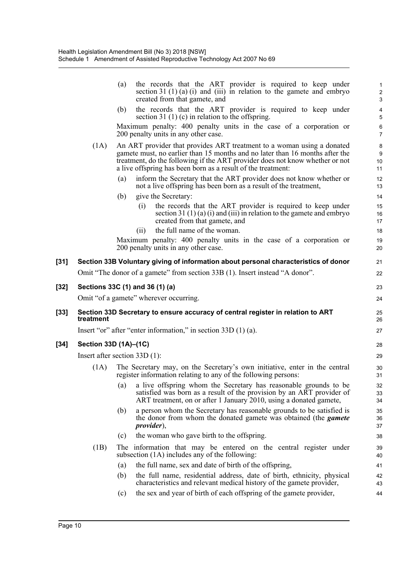|        |           | the records that the ART provider is required to keep under<br>(a)<br>section 31 (1) (a) (i) and (iii) in relation to the gamete and embryo<br>created from that gamete, and                                                                                                                           | $\mathbf 1$<br>$\overline{\mathbf{c}}$<br>3 |
|--------|-----------|--------------------------------------------------------------------------------------------------------------------------------------------------------------------------------------------------------------------------------------------------------------------------------------------------------|---------------------------------------------|
|        |           | the records that the ART provider is required to keep under<br>(b)<br>section 31 (1) (c) in relation to the offspring.                                                                                                                                                                                 | $\overline{\mathcal{L}}$<br>5               |
|        |           | Maximum penalty: 400 penalty units in the case of a corporation or<br>200 penalty units in any other case.                                                                                                                                                                                             | $\overline{6}$<br>$\overline{7}$            |
|        | (1A)      | An ART provider that provides ART treatment to a woman using a donated<br>gamete must, no earlier than 15 months and no later than 16 months after the<br>treatment, do the following if the ART provider does not know whether or not<br>a live offspring has been born as a result of the treatment: | 8<br>9<br>10<br>11                          |
|        |           | inform the Secretary that the ART provider does not know whether or<br>(a)<br>not a live offspring has been born as a result of the treatment,                                                                                                                                                         | 12<br>13                                    |
|        |           | give the Secretary:<br>(b)                                                                                                                                                                                                                                                                             | 14                                          |
|        |           | the records that the ART provider is required to keep under<br>(i)<br>section 31 $(1)(a)(i)$ and $(iii)$ in relation to the gamete and embryo<br>created from that gamete, and                                                                                                                         | 15<br>16<br>17                              |
|        |           | the full name of the woman.<br>(11)                                                                                                                                                                                                                                                                    | 18                                          |
|        |           | Maximum penalty: 400 penalty units in the case of a corporation or<br>200 penalty units in any other case.                                                                                                                                                                                             | 19<br>20                                    |
| $[31]$ |           | Section 33B Voluntary giving of information about personal characteristics of donor                                                                                                                                                                                                                    | 21                                          |
|        |           | Omit "The donor of a gamete" from section 33B (1). Insert instead "A donor".                                                                                                                                                                                                                           | 22                                          |
| $[32]$ |           | Sections 33C (1) and 36 (1) (a)                                                                                                                                                                                                                                                                        | 23                                          |
|        |           | Omit "of a gamete" wherever occurring.                                                                                                                                                                                                                                                                 | 24                                          |
|        |           |                                                                                                                                                                                                                                                                                                        |                                             |
| $[33]$ | treatment | Section 33D Secretary to ensure accuracy of central register in relation to ART                                                                                                                                                                                                                        | 25<br>26                                    |
|        |           | Insert "or" after "enter information," in section $33D(1)(a)$ .                                                                                                                                                                                                                                        | 27                                          |
| $[34]$ |           | Section 33D (1A)-(1C)                                                                                                                                                                                                                                                                                  | 28                                          |
|        |           | Insert after section $33D(1)$ :                                                                                                                                                                                                                                                                        | 29                                          |
|        | (1A)      | The Secretary may, on the Secretary's own initiative, enter in the central<br>register information relating to any of the following persons:                                                                                                                                                           | 30<br>31                                    |
|        |           | (a) a live offspring whom the Secretary has reasonable grounds to be<br>satisfied was born as a result of the provision by an ART provider of<br>ART treatment, on or after 1 January 2010, using a donated gamete,                                                                                    | 32<br>33<br>34                              |
|        |           | a person whom the Secretary has reasonable grounds to be satisfied is<br>(b)<br>the donor from whom the donated gamete was obtained (the <i>gamete</i><br><i>provider</i> ),                                                                                                                           | 35<br>36<br>37                              |
|        |           | the woman who gave birth to the offspring.<br>(c)                                                                                                                                                                                                                                                      | 38                                          |
|        | (1B)      | The information that may be entered on the central register under<br>subsection (1A) includes any of the following:                                                                                                                                                                                    | 39<br>40                                    |
|        |           | the full name, sex and date of birth of the offspring,<br>(a)                                                                                                                                                                                                                                          | 41                                          |
|        |           | the full name, residential address, date of birth, ethnicity, physical<br>(b)<br>characteristics and relevant medical history of the gamete provider,                                                                                                                                                  | 42<br>43                                    |
|        |           | the sex and year of birth of each offspring of the gamete provider,<br>(c)                                                                                                                                                                                                                             | 44                                          |
|        |           |                                                                                                                                                                                                                                                                                                        |                                             |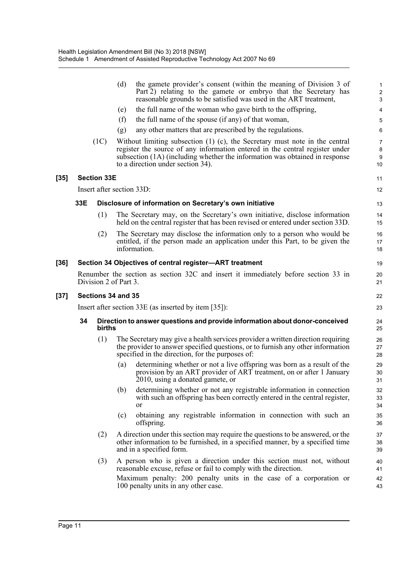|        |     |                       | (d) | the gamete provider's consent (within the meaning of Division 3 of<br>Part 2) relating to the gamete or embryo that the Secretary has<br>reasonable grounds to be satisfied was used in the ART treatment,                                                                           | $\mathbf{1}$<br>$\overline{c}$<br>$\ensuremath{\mathsf{3}}$ |
|--------|-----|-----------------------|-----|--------------------------------------------------------------------------------------------------------------------------------------------------------------------------------------------------------------------------------------------------------------------------------------|-------------------------------------------------------------|
|        |     |                       | (e) | the full name of the woman who gave birth to the offspring,                                                                                                                                                                                                                          | 4                                                           |
|        |     |                       | (f) | the full name of the spouse (if any) of that woman,                                                                                                                                                                                                                                  | 5                                                           |
|        |     |                       | (g) | any other matters that are prescribed by the regulations.                                                                                                                                                                                                                            | 6                                                           |
|        |     | (1C)                  |     | Without limiting subsection $(1)$ $(c)$ , the Secretary must note in the central<br>register the source of any information entered in the central register under<br>subsection (1A) (including whether the information was obtained in response<br>to a direction under section 34). | $\overline{7}$<br>8<br>$\boldsymbol{9}$<br>10               |
| $[35]$ |     | <b>Section 33E</b>    |     |                                                                                                                                                                                                                                                                                      | 11                                                          |
|        |     |                       |     | Insert after section 33D:                                                                                                                                                                                                                                                            | 12                                                          |
|        | 33E |                       |     | Disclosure of information on Secretary's own initiative                                                                                                                                                                                                                              | 13                                                          |
|        |     | (1)                   |     | The Secretary may, on the Secretary's own initiative, disclose information<br>held on the central register that has been revised or entered under section 33D.                                                                                                                       | 14<br>15                                                    |
|        |     | (2)                   |     | The Secretary may disclose the information only to a person who would be<br>entitled, if the person made an application under this Part, to be given the<br>information.                                                                                                             | 16<br>17<br>18                                              |
| $[36]$ |     |                       |     | Section 34 Objectives of central register-ART treatment                                                                                                                                                                                                                              | 19                                                          |
|        |     | Division 2 of Part 3. |     | Renumber the section as section 32C and insert it immediately before section 33 in                                                                                                                                                                                                   | 20<br>21                                                    |
| $[37]$ |     | Sections 34 and 35    |     |                                                                                                                                                                                                                                                                                      | 22                                                          |
|        |     |                       |     | Insert after section $33E$ (as inserted by item [35]):                                                                                                                                                                                                                               | 23                                                          |
|        | 34  | births                |     | Direction to answer questions and provide information about donor-conceived                                                                                                                                                                                                          | 24<br>25                                                    |
|        |     | (1)                   |     | The Secretary may give a health services provider a written direction requiring<br>the provider to answer specified questions, or to furnish any other information<br>specified in the direction, for the purposes of:                                                               | 26<br>27<br>28                                              |
|        |     |                       | (a) | determining whether or not a live offspring was born as a result of the<br>provision by an ART provider of ART treatment, on or after 1 January<br>2010, using a donated gamete, or                                                                                                  | 29<br>30<br>31                                              |
|        |     |                       | (b) | determining whether or not any registrable information in connection                                                                                                                                                                                                                 | 32<br>33                                                    |
|        |     |                       |     | with such an offspring has been correctly entered in the central register,<br>or                                                                                                                                                                                                     | 34                                                          |
|        |     |                       | (c) | obtaining any registrable information in connection with such an<br>offspring.                                                                                                                                                                                                       | 35<br>36                                                    |
|        |     | (2)                   |     | A direction under this section may require the questions to be answered, or the<br>other information to be furnished, in a specified manner, by a specified time<br>and in a specified form.                                                                                         | 37<br>38<br>39                                              |
|        |     | (3)                   |     | A person who is given a direction under this section must not, without<br>reasonable excuse, refuse or fail to comply with the direction.<br>Maximum penalty: 200 penalty units in the case of a corporation or                                                                      | 40<br>41                                                    |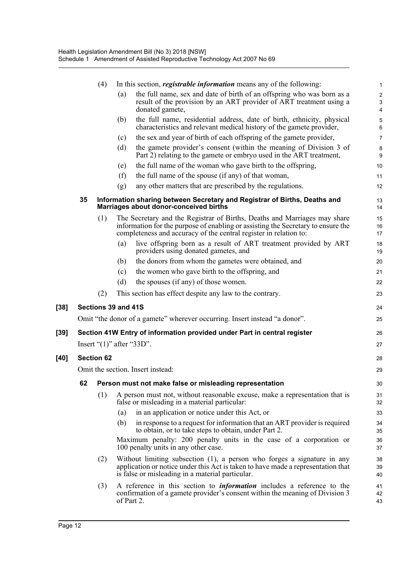|        |     | (4)               | In this section, <i>registrable information</i> means any of the following:                                                                                                                                                        | 1                                                             |
|--------|-----|-------------------|------------------------------------------------------------------------------------------------------------------------------------------------------------------------------------------------------------------------------------|---------------------------------------------------------------|
|        |     |                   | the full name, sex and date of birth of an offspring who was born as a<br>(a)<br>result of the provision by an ART provider of ART treatment using a<br>donated gamete,                                                            | $\overline{c}$<br>$\ensuremath{\mathsf{3}}$<br>$\overline{4}$ |
|        |     |                   | the full name, residential address, date of birth, ethnicity, physical<br>(b)<br>characteristics and relevant medical history of the gamete provider,                                                                              | $\sqrt{5}$<br>$\,6\,$                                         |
|        |     |                   | the sex and year of birth of each offspring of the gamete provider,<br>(c)                                                                                                                                                         | $\overline{7}$                                                |
|        |     |                   | the gamete provider's consent (within the meaning of Division 3 of<br>(d)<br>Part 2) relating to the gamete or embryo used in the ART treatment,                                                                                   | $\bf 8$<br>$\boldsymbol{9}$                                   |
|        |     |                   | the full name of the woman who gave birth to the offspring,<br>(e)                                                                                                                                                                 | 10                                                            |
|        |     |                   | (f)<br>the full name of the spouse (if any) of that woman,                                                                                                                                                                         | 11                                                            |
|        |     |                   | any other matters that are prescribed by the regulations.<br>(g)                                                                                                                                                                   | 12                                                            |
|        | 35  |                   | Information sharing between Secretary and Registrar of Births, Deaths and<br>Marriages about donor-conceived births                                                                                                                | 13<br>14                                                      |
|        |     | (1)               | The Secretary and the Registrar of Births, Deaths and Marriages may share<br>information for the purpose of enabling or assisting the Secretary to ensure the<br>completeness and accuracy of the central register in relation to: | 15<br>16<br>17                                                |
|        |     |                   | live offspring born as a result of ART treatment provided by ART<br>(a)<br>providers using donated gametes, and                                                                                                                    | 18<br>19                                                      |
|        |     |                   | the donors from whom the gametes were obtained, and<br>(b)                                                                                                                                                                         | 20                                                            |
|        |     |                   | the women who gave birth to the offspring, and<br>(c)                                                                                                                                                                              | 21                                                            |
|        |     |                   | the spouses (if any) of those women.<br>(d)                                                                                                                                                                                        | 22                                                            |
|        |     | (2)               | This section has effect despite any law to the contrary.                                                                                                                                                                           | 23                                                            |
| $[38]$ |     |                   | Sections 39 and 41S                                                                                                                                                                                                                | 24                                                            |
|        |     |                   | Omit "the donor of a gamete" wherever occurring. Insert instead "a donor".                                                                                                                                                         | 25                                                            |
| [39]   |     |                   | Section 41W Entry of information provided under Part in central register                                                                                                                                                           | 26                                                            |
|        |     |                   | Insert " $(1)$ " after " $33D$ ".                                                                                                                                                                                                  | 27                                                            |
| [40]   |     | <b>Section 62</b> |                                                                                                                                                                                                                                    | 28                                                            |
|        |     |                   | Omit the section. Insert instead:                                                                                                                                                                                                  | 29                                                            |
|        | 62. |                   |                                                                                                                                                                                                                                    |                                                               |
|        |     | (1)               | Person must not make false or misleading representation<br>A person must not, without reasonable excuse, make a representation that is                                                                                             | 30                                                            |
|        |     |                   | false or misleading in a material particular:                                                                                                                                                                                      | 31<br>32                                                      |
|        |     |                   | in an application or notice under this Act, or<br>(a)                                                                                                                                                                              | 33                                                            |
|        |     |                   | (b)<br>in response to a request for information that an ART provider is required<br>to obtain, or to take steps to obtain, under Part 2.                                                                                           | 34<br>35                                                      |
|        |     |                   | Maximum penalty: 200 penalty units in the case of a corporation or<br>100 penalty units in any other case.                                                                                                                         | 36<br>37                                                      |
|        |     | (2)               | Without limiting subsection (1), a person who forges a signature in any<br>application or notice under this Act is taken to have made a representation that<br>is false or misleading in a material particular.                    | 38<br>39<br>40                                                |
|        |     | (3)               | A reference in this section to <i>information</i> includes a reference to the<br>confirmation of a gamete provider's consent within the meaning of Division 3<br>of Part 2.                                                        | 41<br>42<br>43                                                |

[38]

**[40]**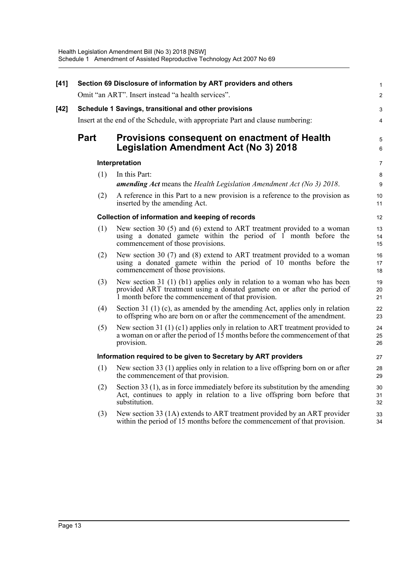| [41] |             | Section 69 Disclosure of information by ART providers and others<br>Omit "an ART". Insert instead "a health services".                                                                                      | $\mathbf{1}$<br>$\overline{2}$ |
|------|-------------|-------------------------------------------------------------------------------------------------------------------------------------------------------------------------------------------------------------|--------------------------------|
| [42] |             | Schedule 1 Savings, transitional and other provisions                                                                                                                                                       | 3                              |
|      |             | Insert at the end of the Schedule, with appropriate Part and clause numbering:                                                                                                                              | 4                              |
|      | <b>Part</b> | Provisions consequent on enactment of Health<br><b>Legislation Amendment Act (No 3) 2018</b>                                                                                                                | 5<br>6                         |
|      |             | Interpretation                                                                                                                                                                                              | $\overline{7}$                 |
|      | (1)         | In this Part:<br>amending Act means the Health Legislation Amendment Act (No 3) 2018.                                                                                                                       | 8<br>9                         |
|      | (2)         | A reference in this Part to a new provision is a reference to the provision as<br>inserted by the amending Act.                                                                                             | 10<br>11                       |
|      |             | <b>Collection of information and keeping of records</b>                                                                                                                                                     | 12                             |
|      | (1)         | New section 30 $(5)$ and $(6)$ extend to ART treatment provided to a woman<br>using a donated gamete within the period of $\overline{1}$ month before the<br>commencement of those provisions.              | 13<br>14<br>15                 |
|      | (2)         | New section 30 $(7)$ and $(8)$ extend to ART treatment provided to a woman<br>using a donated gamete within the period of 10 months before the<br>commencement of those provisions.                         | 16<br>17<br>18                 |
|      | (3)         | New section 31 $(1)$ (b1) applies only in relation to a woman who has been<br>provided ART treatment using a donated gamete on or after the period of<br>1 month before the commencement of that provision. | 19<br>20<br>21                 |
|      | (4)         | Section 31 $(1)$ (c), as amended by the amending Act, applies only in relation<br>to offspring who are born on or after the commencement of the amendment.                                                  | 22<br>23                       |
|      | (5)         | New section 31 $(1)$ (c1) applies only in relation to ART treatment provided to<br>a woman on or after the period of 15 months before the commencement of that<br>provision.                                | 24<br>25<br>26                 |
|      |             | Information required to be given to Secretary by ART providers                                                                                                                                              | 27                             |
|      | (1)         | New section 33 (1) applies only in relation to a live offspring born on or after<br>the commencement of that provision.                                                                                     | 28<br>29                       |
|      | (2)         | Section 33 $(1)$ , as in force immediately before its substitution by the amending<br>Act, continues to apply in relation to a live offspring born before that<br>substitution.                             | 30<br>31<br>32                 |
|      | (3)         | New section 33 (1A) extends to ART treatment provided by an ART provider<br>within the period of 15 months before the commencement of that provision.                                                       | 33<br>34                       |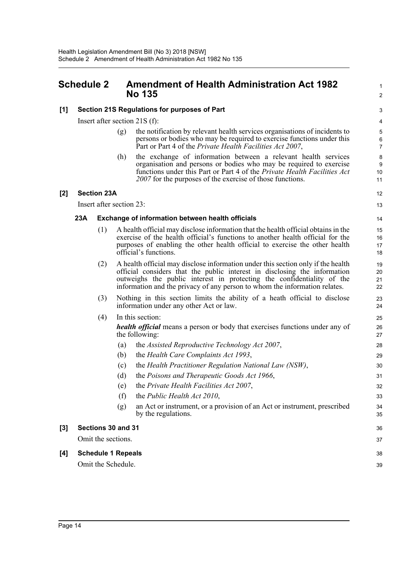## <span id="page-20-0"></span>**Schedule 2 Amendment of Health Administration Act 1982 No 135**

38 39

#### **[1] Section 21S Regulations for purposes of Part**

Insert after section 21S (f):

- (g) the notification by relevant health services organisations of incidents to persons or bodies who may be required to exercise functions under this Part or Part 4 of the *Private Health Facilities Act 2007*,
- (h) the exchange of information between a relevant health services organisation and persons or bodies who may be required to exercise functions under this Part or Part 4 of the *Private Health Facilities Act 2007* for the purposes of the exercise of those functions.

#### **[2] Section 23A**

Insert after section 23:

#### **23A Exchange of information between health officials**

- (1) A health official may disclose information that the health official obtains in the exercise of the health official's functions to another health official for the purposes of enabling the other health official to exercise the other health official's functions.
- (2) A health official may disclose information under this section only if the health official considers that the public interest in disclosing the information outweighs the public interest in protecting the confidentiality of the information and the privacy of any person to whom the information relates.
- (3) Nothing in this section limits the ability of a heath official to disclose information under any other Act or law.
- (4) In this section:

*health official* means a person or body that exercises functions under any of the following:

- (a) the *Assisted Reproductive Technology Act 2007*,
- (b) the *Health Care Complaints Act 1993*,
- (c) the *Health Practitioner Regulation National Law (NSW)*,
- (d) the *Poisons and Therapeutic Goods Act 1966*,
- (e) the *Private Health Facilities Act 2007*,
- (f) the *Public Health Act 2010*,
- (g) an Act or instrument, or a provision of an Act or instrument, prescribed by the regulations.

#### **[3] Sections 30 and 31**

Omit the sections.

**[4] Schedule 1 Repeals** Omit the Schedule.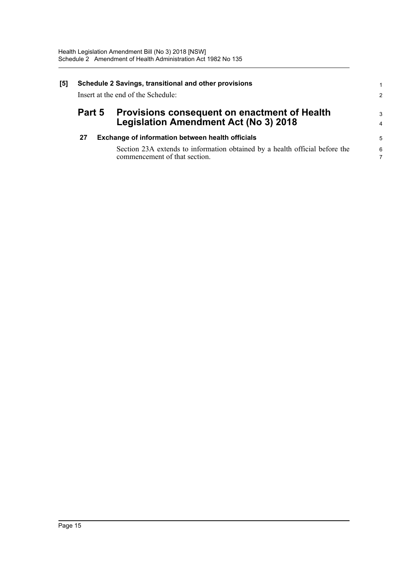| [5] | Schedule 2 Savings, transitional and other provisions<br>Insert at the end of the Schedule: |  |                                                                                                                                                                  |                                 |  |
|-----|---------------------------------------------------------------------------------------------|--|------------------------------------------------------------------------------------------------------------------------------------------------------------------|---------------------------------|--|
|     | Part 5                                                                                      |  | Provisions consequent on enactment of Health<br><b>Legislation Amendment Act (No 3) 2018</b>                                                                     | $\mathcal{S}$<br>$\overline{4}$ |  |
|     | 27                                                                                          |  | Exchange of information between health officials<br>Section 23A extends to information obtained by a health official before the<br>commencement of that section. | 5<br>6                          |  |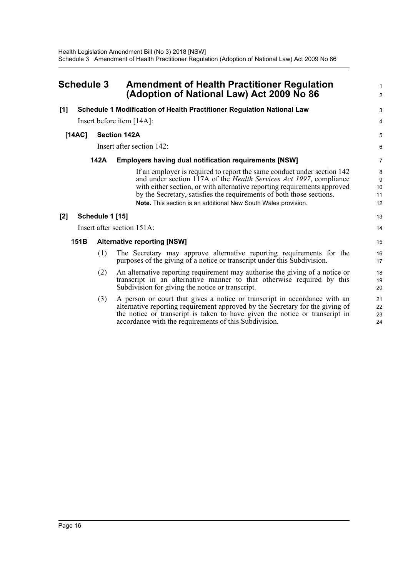<span id="page-22-0"></span>

| <b>Schedule 3</b> |        |                 | <b>Amendment of Health Practitioner Regulation</b><br>(Adoption of National Law) Act 2009 No 86                                                                                                                                                                                                                                                                     |                          |
|-------------------|--------|-----------------|---------------------------------------------------------------------------------------------------------------------------------------------------------------------------------------------------------------------------------------------------------------------------------------------------------------------------------------------------------------------|--------------------------|
| [1]               |        |                 | Schedule 1 Modification of Health Practitioner Regulation National Law                                                                                                                                                                                                                                                                                              | 3                        |
|                   |        |                 | Insert before item [14A]:                                                                                                                                                                                                                                                                                                                                           | 4                        |
|                   | [14AC] |                 | <b>Section 142A</b>                                                                                                                                                                                                                                                                                                                                                 | 5                        |
|                   |        |                 | Insert after section 142:                                                                                                                                                                                                                                                                                                                                           | 6                        |
|                   |        | 142A            | <b>Employers having dual notification requirements [NSW]</b>                                                                                                                                                                                                                                                                                                        | 7                        |
|                   |        |                 | If an employer is required to report the same conduct under section 142<br>and under section 117A of the Health Services Act 1997, compliance<br>with either section, or with alternative reporting requirements approved<br>by the Secretary, satisfies the requirements of both those sections.<br>Note. This section is an additional New South Wales provision. | 8<br>9<br>10<br>11<br>12 |
| $[2]$             |        | Schedule 1 [15] |                                                                                                                                                                                                                                                                                                                                                                     | 13                       |
|                   |        |                 | Insert after section 151A:                                                                                                                                                                                                                                                                                                                                          | 14                       |
|                   | 151B   |                 | <b>Alternative reporting [NSW]</b>                                                                                                                                                                                                                                                                                                                                  | 15                       |
|                   |        | (1)             | The Secretary may approve alternative reporting requirements for the<br>purposes of the giving of a notice or transcript under this Subdivision.                                                                                                                                                                                                                    | 16<br>17                 |
|                   |        | (2)             | An alternative reporting requirement may authorise the giving of a notice or<br>transcript in an alternative manner to that otherwise required by this<br>Subdivision for giving the notice or transcript.                                                                                                                                                          | 18<br>19<br>20           |
|                   |        | (3)             | A person or court that gives a notice or transcript in accordance with an<br>alternative reporting requirement approved by the Secretary for the giving of<br>the notice or transcript is taken to have given the notice or transcript in<br>accordance with the requirements of this Subdivision.                                                                  | 21<br>22<br>23<br>24     |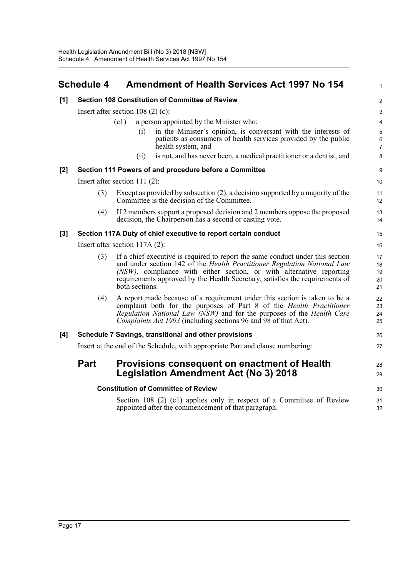<span id="page-23-0"></span>

| <b>Schedule 4</b> | <b>Amendment of Health Services Act 1997 No 154</b> |
|-------------------|-----------------------------------------------------|
|                   |                                                     |

1

| [1] |                                                                                | <b>Section 108 Constitution of Committee of Review</b>                                                                                                                                                                                                                                                                               | $\overline{2}$                           |  |  |  |
|-----|--------------------------------------------------------------------------------|--------------------------------------------------------------------------------------------------------------------------------------------------------------------------------------------------------------------------------------------------------------------------------------------------------------------------------------|------------------------------------------|--|--|--|
|     |                                                                                | Insert after section $108(2)$ (c):                                                                                                                                                                                                                                                                                                   | 3                                        |  |  |  |
|     |                                                                                | a person appointed by the Minister who:<br>(c1)                                                                                                                                                                                                                                                                                      | 4                                        |  |  |  |
|     |                                                                                | in the Minister's opinion, is conversant with the interests of<br>(i)<br>patients as consumers of health services provided by the public<br>health system, and                                                                                                                                                                       | $\,$ 5 $\,$<br>$\,6\,$<br>$\overline{7}$ |  |  |  |
|     |                                                                                | is not, and has never been, a medical practitioner or a dentist, and<br>(ii)                                                                                                                                                                                                                                                         | $\bf 8$                                  |  |  |  |
| [2] |                                                                                | Section 111 Powers of and procedure before a Committee                                                                                                                                                                                                                                                                               | $\boldsymbol{9}$                         |  |  |  |
|     |                                                                                | Insert after section $111(2)$ :                                                                                                                                                                                                                                                                                                      | 10                                       |  |  |  |
|     | (3)                                                                            | Except as provided by subsection $(2)$ , a decision supported by a majority of the<br>Committee is the decision of the Committee.                                                                                                                                                                                                    | 11<br>12                                 |  |  |  |
|     | (4)                                                                            | If 2 members support a proposed decision and 2 members oppose the proposed<br>decision, the Chairperson has a second or casting vote.                                                                                                                                                                                                | 13<br>14                                 |  |  |  |
| [3] |                                                                                | Section 117A Duty of chief executive to report certain conduct                                                                                                                                                                                                                                                                       | 15                                       |  |  |  |
|     | Insert after section $117A(2)$ :                                               |                                                                                                                                                                                                                                                                                                                                      |                                          |  |  |  |
|     | (3)                                                                            | If a chief executive is required to report the same conduct under this section<br>and under section 142 of the Health Practitioner Regulation National Law<br>(NSW), compliance with either section, or with alternative reporting<br>requirements approved by the Health Secretary, satisfies the requirements of<br>both sections. | 17<br>18<br>19<br>20<br>21               |  |  |  |
|     | (4)                                                                            | A report made because of a requirement under this section is taken to be a<br>complaint both for the purposes of Part 8 of the Health Practitioner<br>Regulation National Law (NSW) and for the purposes of the Health Care<br><i>Complaints Act 1993</i> (including sections 96 and 98 of that Act).                                | 22<br>23<br>24<br>25                     |  |  |  |
| [4] |                                                                                | Schedule 7 Savings, transitional and other provisions                                                                                                                                                                                                                                                                                | 26                                       |  |  |  |
|     | Insert at the end of the Schedule, with appropriate Part and clause numbering: |                                                                                                                                                                                                                                                                                                                                      |                                          |  |  |  |
|     | <b>Part</b>                                                                    | Provisions consequent on enactment of Health<br><b>Legislation Amendment Act (No 3) 2018</b>                                                                                                                                                                                                                                         | 28<br>29                                 |  |  |  |
|     |                                                                                | <b>Constitution of Committee of Review</b>                                                                                                                                                                                                                                                                                           | 30                                       |  |  |  |
|     |                                                                                | Section 108 (2) (c1) applies only in respect of a Committee of Review<br>appointed after the commencement of that paragraph.                                                                                                                                                                                                         | 31<br>32                                 |  |  |  |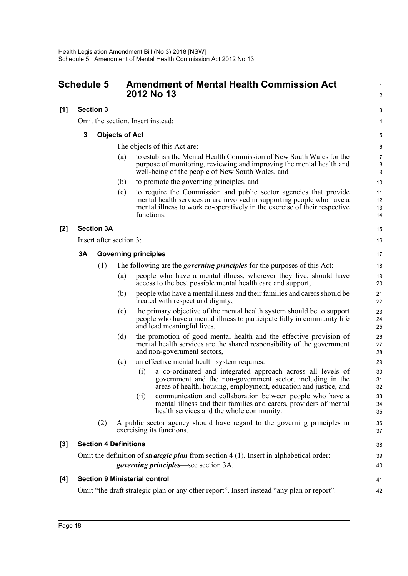<span id="page-24-0"></span>

| <b>Schedule 5</b> |    |                              |                       | <b>Amendment of Mental Health Commission Act</b><br>2012 No 13                                                                                                                                                                         | 1<br>$\overline{\mathbf{c}}$ |
|-------------------|----|------------------------------|-----------------------|----------------------------------------------------------------------------------------------------------------------------------------------------------------------------------------------------------------------------------------|------------------------------|
| [1]               |    | <b>Section 3</b>             |                       |                                                                                                                                                                                                                                        | 3                            |
|                   |    |                              |                       | Omit the section. Insert instead:                                                                                                                                                                                                      | 4                            |
|                   | 3  |                              | <b>Objects of Act</b> |                                                                                                                                                                                                                                        | 5                            |
|                   |    |                              |                       | The objects of this Act are:                                                                                                                                                                                                           | 6                            |
|                   |    |                              | (a)                   | to establish the Mental Health Commission of New South Wales for the<br>purpose of monitoring, reviewing and improving the mental health and<br>well-being of the people of New South Wales, and                                       | $\overline{7}$<br>8<br>9     |
|                   |    |                              | (b)                   | to promote the governing principles, and                                                                                                                                                                                               | 10                           |
|                   |    |                              | (c)                   | to require the Commission and public sector agencies that provide<br>mental health services or are involved in supporting people who have a<br>mental illness to work co-operatively in the exercise of their respective<br>functions. | 11<br>12<br>13<br>14         |
| $[2]$             |    | <b>Section 3A</b>            |                       |                                                                                                                                                                                                                                        | 15                           |
|                   |    | Insert after section 3:      |                       |                                                                                                                                                                                                                                        | 16                           |
|                   | 3A |                              |                       | <b>Governing principles</b>                                                                                                                                                                                                            | 17                           |
|                   |    | (1)                          |                       | The following are the <i>governing principles</i> for the purposes of this Act:                                                                                                                                                        | 18                           |
|                   |    |                              | (a)                   | people who have a mental illness, wherever they live, should have<br>access to the best possible mental health care and support,                                                                                                       | 19<br>20                     |
|                   |    |                              | (b)                   | people who have a mental illness and their families and carers should be<br>treated with respect and dignity,                                                                                                                          | 21<br>22                     |
|                   |    |                              | (c)                   | the primary objective of the mental health system should be to support<br>people who have a mental illness to participate fully in community life<br>and lead meaningful lives,                                                        | 23<br>24<br>25               |
|                   |    |                              | (d)                   | the promotion of good mental health and the effective provision of<br>mental health services are the shared responsibility of the government<br>and non-government sectors,                                                            | 26<br>27<br>28               |
|                   |    |                              | (e)                   | an effective mental health system requires:                                                                                                                                                                                            | 29                           |
|                   |    |                              |                       | a co-ordinated and integrated approach across all levels of<br>(i)<br>government and the non-government sector, including in the<br>areas of health, housing, employment, education and justice, and                                   | 30<br>31<br>32               |
|                   |    |                              |                       | communication and collaboration between people who have a<br>(ii)<br>mental illness and their families and carers, providers of mental<br>health services and the whole community.                                                     | 33<br>34<br>35               |
|                   |    | (2)                          |                       | A public sector agency should have regard to the governing principles in<br>exercising its functions.                                                                                                                                  | 36<br>37                     |
| $[3]$             |    | <b>Section 4 Definitions</b> |                       |                                                                                                                                                                                                                                        | 38                           |
|                   |    |                              |                       | Omit the definition of <i>strategic plan</i> from section $4(1)$ . Insert in alphabetical order:                                                                                                                                       | 39                           |
|                   |    |                              |                       | <i>governing principles</i> —see section 3A.                                                                                                                                                                                           | 40                           |
| [4]               |    |                              |                       | <b>Section 9 Ministerial control</b>                                                                                                                                                                                                   | 41                           |
|                   |    |                              |                       | Omit "the draft strategic plan or any other report". Insert instead "any plan or report".                                                                                                                                              | 42                           |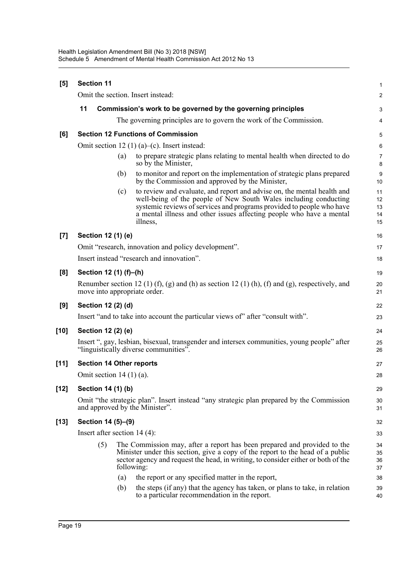| [5]    | <b>Section 11</b>                                                                                                                                                                                                                                                                                               | 1                          |
|--------|-----------------------------------------------------------------------------------------------------------------------------------------------------------------------------------------------------------------------------------------------------------------------------------------------------------------|----------------------------|
|        | Omit the section. Insert instead:                                                                                                                                                                                                                                                                               | $\overline{a}$             |
|        | 11<br>Commission's work to be governed by the governing principles                                                                                                                                                                                                                                              | 3                          |
|        | The governing principles are to govern the work of the Commission.                                                                                                                                                                                                                                              | 4                          |
| [6]    | <b>Section 12 Functions of Commission</b>                                                                                                                                                                                                                                                                       | 5                          |
|        | Omit section 12 (1) (a)–(c). Insert instead:                                                                                                                                                                                                                                                                    | 6                          |
|        | to prepare strategic plans relating to mental health when directed to do<br>(a)<br>so by the Minister,                                                                                                                                                                                                          | 7<br>8                     |
|        | to monitor and report on the implementation of strategic plans prepared<br>(b)<br>by the Commission and approved by the Minister,                                                                                                                                                                               | 9<br>10                    |
|        | to review and evaluate, and report and advise on, the mental health and<br>(c)<br>well-being of the people of New South Wales including conducting<br>systemic reviews of services and programs provided to people who have<br>a mental illness and other issues affecting people who have a mental<br>illness, | 11<br>12<br>13<br>14<br>15 |
| [7]    | Section 12 (1) (e)                                                                                                                                                                                                                                                                                              | 16                         |
|        | Omit "research, innovation and policy development".                                                                                                                                                                                                                                                             | 17                         |
|        | Insert instead "research and innovation".                                                                                                                                                                                                                                                                       | 18                         |
| [8]    | Section 12 (1) (f)-(h)                                                                                                                                                                                                                                                                                          | 19                         |
|        | Renumber section 12 (1) (f), (g) and (h) as section 12 (1) (h), (f) and (g), respectively, and<br>move into appropriate order.                                                                                                                                                                                  | 20<br>21                   |
| [9]    | Section 12 (2) (d)                                                                                                                                                                                                                                                                                              | 22                         |
|        | Insert "and to take into account the particular views of" after "consult with".                                                                                                                                                                                                                                 | 23                         |
| $[10]$ | Section 12 (2) (e)                                                                                                                                                                                                                                                                                              | 24                         |
|        | Insert ", gay, lesbian, bisexual, transgender and intersex communities, young people" after<br>"linguistically diverse communities".                                                                                                                                                                            | 25<br>26                   |
| [11]   | <b>Section 14 Other reports</b>                                                                                                                                                                                                                                                                                 | 27                         |
|        | Omit section $14(1)(a)$ .                                                                                                                                                                                                                                                                                       | 28                         |
| $[12]$ | Section 14 (1) (b)                                                                                                                                                                                                                                                                                              | 29                         |
|        | Omit "the strategic plan". Insert instead "any strategic plan prepared by the Commission<br>and approved by the Minister".                                                                                                                                                                                      | 30<br>31                   |
| [13]   | Section 14 (5)-(9)                                                                                                                                                                                                                                                                                              | 32                         |
|        | Insert after section $14(4)$ :                                                                                                                                                                                                                                                                                  | 33                         |
|        | (5)<br>The Commission may, after a report has been prepared and provided to the<br>Minister under this section, give a copy of the report to the head of a public<br>sector agency and request the head, in writing, to consider either or both of the<br>following:                                            | 34<br>35<br>36<br>37       |
|        | the report or any specified matter in the report,<br>(a)                                                                                                                                                                                                                                                        | 38                         |
|        | the steps (if any) that the agency has taken, or plans to take, in relation<br>(b)<br>to a particular recommendation in the report.                                                                                                                                                                             | 39<br>40                   |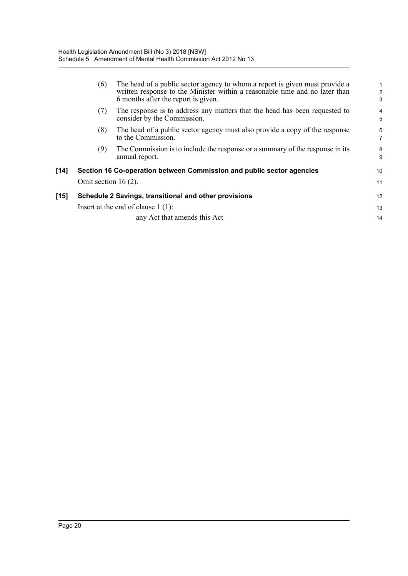|        | (6)                    | The head of a public sector agency to whom a report is given must provide a<br>written response to the Minister within a reasonable time and no later than<br>6 months after the report is given. | $\overline{c}$<br>3 |
|--------|------------------------|---------------------------------------------------------------------------------------------------------------------------------------------------------------------------------------------------|---------------------|
|        | (7)                    | The response is to address any matters that the head has been requested to<br>consider by the Commission.                                                                                         | 4<br>5              |
|        | (8)                    | The head of a public sector agency must also provide a copy of the response<br>to the Commission.                                                                                                 | $\overline{6}$<br>7 |
|        | (9)                    | The Commission is to include the response or a summary of the response in its<br>annual report.                                                                                                   | 8<br>9              |
| $[14]$ |                        | Section 16 Co-operation between Commission and public sector agencies                                                                                                                             | 10                  |
|        | Omit section $16(2)$ . |                                                                                                                                                                                                   | 11                  |
| $[15]$ |                        | Schedule 2 Savings, transitional and other provisions                                                                                                                                             | 12                  |
|        |                        | Insert at the end of clause $1(1)$ :                                                                                                                                                              | 13                  |
|        |                        | any Act that amends this Act                                                                                                                                                                      | 14                  |
|        |                        |                                                                                                                                                                                                   |                     |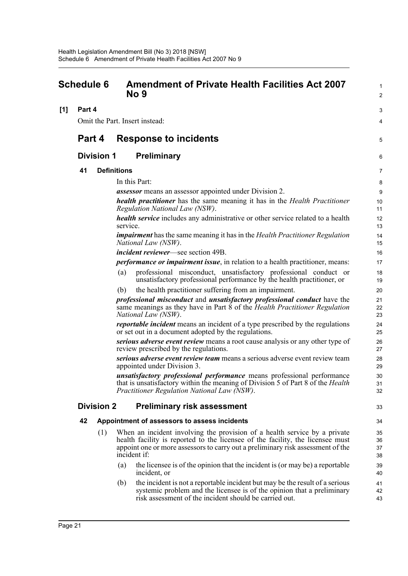## <span id="page-27-0"></span>**Schedule 6 Amendment of Private Health Facilities Act 2007 No 9**

**[1] Part 4**

Omit the Part. Insert instead:

## **Part 4 Response to incidents**

### **Division 1 Preliminary**

#### **41 Definitions**

In this Part:

*assessor* means an assessor appointed under Division 2.

*health practitioner* has the same meaning it has in the *Health Practitioner Regulation National Law (NSW)*.

1  $\overline{2}$ 

3  $\boldsymbol{\Lambda}$ 

5

33

*health service* includes any administrative or other service related to a health service.

*impairment* has the same meaning it has in the *Health Practitioner Regulation National Law (NSW)*.

*incident reviewer*—see section 49B.

*performance or impairment issue*, in relation to a health practitioner, means:

- (a) professional misconduct, unsatisfactory professional conduct or unsatisfactory professional performance by the health practitioner, or
- (b) the health practitioner suffering from an impairment.

*professional misconduct* and *unsatisfactory professional conduct* have the same meanings as they have in Part 8 of the *Health Practitioner Regulation National Law (NSW)*.

*reportable incident* means an incident of a type prescribed by the regulations or set out in a document adopted by the regulations.

*serious adverse event review* means a root cause analysis or any other type of review prescribed by the regulations.

*serious adverse event review team* means a serious adverse event review team appointed under Division 3.

*unsatisfactory professional performance* means professional performance that is unsatisfactory within the meaning of Division 5 of Part 8 of the *Health Practitioner Regulation National Law (NSW)*.

#### **Division 2 Preliminary risk assessment**

#### **42 Appointment of assessors to assess incidents**

- (1) When an incident involving the provision of a health service by a private health facility is reported to the licensee of the facility, the licensee must appoint one or more assessors to carry out a preliminary risk assessment of the incident if:
	- (a) the licensee is of the opinion that the incident is (or may be) a reportable incident, or
	- (b) the incident is not a reportable incident but may be the result of a serious systemic problem and the licensee is of the opinion that a preliminary risk assessment of the incident should be carried out.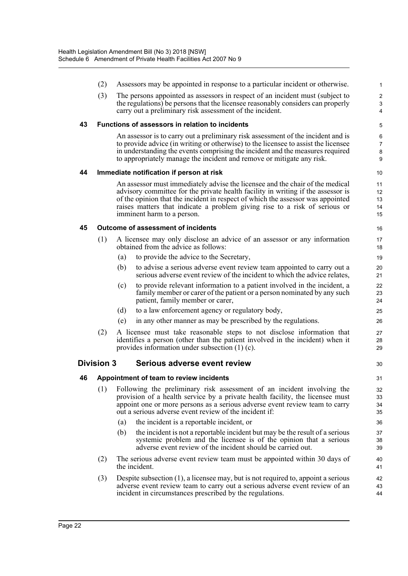|    | (2)               |                                                                                                                                                              | Assessors may be appointed in response to a particular incident or otherwise.                                                                                                                                                   | 1                     |  |
|----|-------------------|--------------------------------------------------------------------------------------------------------------------------------------------------------------|---------------------------------------------------------------------------------------------------------------------------------------------------------------------------------------------------------------------------------|-----------------------|--|
|    | (3)               |                                                                                                                                                              | The persons appointed as assessors in respect of an incident must (subject to                                                                                                                                                   | $\overline{c}$        |  |
|    |                   |                                                                                                                                                              | the regulations) be persons that the licensee reasonably considers can properly<br>carry out a preliminary risk assessment of the incident.                                                                                     | 3<br>4                |  |
| 43 |                   |                                                                                                                                                              | <b>Functions of assessors in relation to incidents</b>                                                                                                                                                                          | 5                     |  |
|    |                   |                                                                                                                                                              | An assessor is to carry out a preliminary risk assessment of the incident and is                                                                                                                                                | 6                     |  |
|    |                   |                                                                                                                                                              | to provide advice (in writing or otherwise) to the licensee to assist the licensee<br>in understanding the events comprising the incident and the measures required                                                             | $\overline{7}$<br>8   |  |
|    |                   |                                                                                                                                                              | to appropriately manage the incident and remove or mitigate any risk.                                                                                                                                                           | 9                     |  |
| 44 |                   |                                                                                                                                                              | Immediate notification if person at risk                                                                                                                                                                                        | 10                    |  |
|    |                   |                                                                                                                                                              | An assessor must immediately advise the licensee and the chair of the medical                                                                                                                                                   | 11                    |  |
|    |                   |                                                                                                                                                              | advisory committee for the private health facility in writing if the assessor is<br>of the opinion that the incident in respect of which the assessor was appointed                                                             | 12 <sup>2</sup><br>13 |  |
|    |                   |                                                                                                                                                              | raises matters that indicate a problem giving rise to a risk of serious or                                                                                                                                                      | 14                    |  |
|    |                   |                                                                                                                                                              | imminent harm to a person.                                                                                                                                                                                                      | 15                    |  |
| 45 |                   |                                                                                                                                                              | Outcome of assessment of incidents                                                                                                                                                                                              | 16                    |  |
|    | (1)               |                                                                                                                                                              | A licensee may only disclose an advice of an assessor or any information<br>obtained from the advice as follows:                                                                                                                | 17<br>18              |  |
|    |                   | (a)                                                                                                                                                          | to provide the advice to the Secretary,                                                                                                                                                                                         | 19                    |  |
|    |                   | (b)                                                                                                                                                          | to advise a serious adverse event review team appointed to carry out a<br>serious adverse event review of the incident to which the advice relates,                                                                             | 20<br>21              |  |
|    |                   | (c)                                                                                                                                                          | to provide relevant information to a patient involved in the incident, a<br>family member or carer of the patient or a person nominated by any such<br>patient, family member or carer,                                         | 22<br>23<br>24        |  |
|    |                   | (d)                                                                                                                                                          | to a law enforcement agency or regulatory body,                                                                                                                                                                                 | 25                    |  |
|    |                   | (e)                                                                                                                                                          | in any other manner as may be prescribed by the regulations.                                                                                                                                                                    | 26                    |  |
|    | (2)               |                                                                                                                                                              | A licensee must take reasonable steps to not disclose information that<br>identifies a person (other than the patient involved in the incident) when it<br>provides information under subsection $(1)$ (c).                     | 27<br>28<br>29        |  |
|    | <b>Division 3</b> |                                                                                                                                                              | Serious adverse event review                                                                                                                                                                                                    | 30                    |  |
| 46 |                   |                                                                                                                                                              | Appointment of team to review incidents                                                                                                                                                                                         | 31                    |  |
|    | (1)               | Following the preliminary risk assessment of an incident involving the                                                                                       |                                                                                                                                                                                                                                 |                       |  |
|    |                   | provision of a health service by a private health facility, the licensee must<br>appoint one or more persons as a serious adverse event review team to carry |                                                                                                                                                                                                                                 | 33<br>34              |  |
|    |                   |                                                                                                                                                              | out a serious adverse event review of the incident if:                                                                                                                                                                          | 35                    |  |
|    |                   | (a)                                                                                                                                                          | the incident is a reportable incident, or                                                                                                                                                                                       | 36                    |  |
|    |                   | (b)                                                                                                                                                          | the incident is not a reportable incident but may be the result of a serious                                                                                                                                                    | 37                    |  |
|    |                   |                                                                                                                                                              | systemic problem and the licensee is of the opinion that a serious<br>adverse event review of the incident should be carried out.                                                                                               | 38<br>39              |  |
|    | (2)               |                                                                                                                                                              | The serious adverse event review team must be appointed within 30 days of<br>the incident.                                                                                                                                      | 40<br>41              |  |
|    | (3)               |                                                                                                                                                              | Despite subsection $(1)$ , a licensee may, but is not required to, appoint a serious<br>adverse event review team to carry out a serious adverse event review of an<br>incident in circumstances prescribed by the regulations. | 42<br>43<br>44        |  |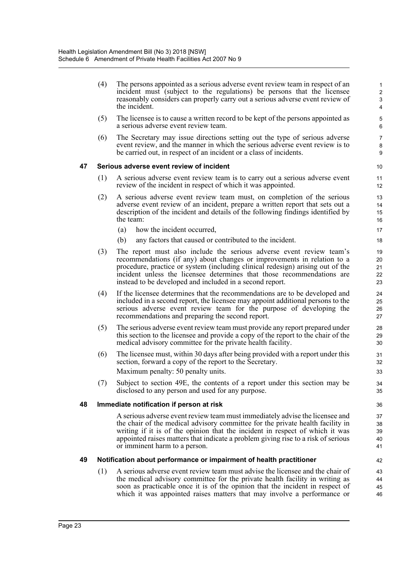|    | (4) | The persons appointed as a serious adverse event review team in respect of an<br>incident must (subject to the regulations) be persons that the licensee<br>reasonably considers can properly carry out a serious adverse event review of<br>the incident.                                                                                                              | 1<br>$\overline{\mathbf{c}}$<br>$\mathbf{3}$<br>$\overline{4}$ |
|----|-----|-------------------------------------------------------------------------------------------------------------------------------------------------------------------------------------------------------------------------------------------------------------------------------------------------------------------------------------------------------------------------|----------------------------------------------------------------|
|    | (5) | The licensee is to cause a written record to be kept of the persons appointed as<br>a serious adverse event review team.                                                                                                                                                                                                                                                | $\mathbf 5$<br>6                                               |
|    | (6) | The Secretary may issue directions setting out the type of serious adverse<br>event review, and the manner in which the serious adverse event review is to<br>be carried out, in respect of an incident or a class of incidents.                                                                                                                                        | $\overline{7}$<br>8<br>9                                       |
| 47 |     | Serious adverse event review of incident                                                                                                                                                                                                                                                                                                                                | 10                                                             |
|    | (1) | A serious adverse event review team is to carry out a serious adverse event<br>review of the incident in respect of which it was appointed.                                                                                                                                                                                                                             | 11<br>12                                                       |
|    | (2) | A serious adverse event review team must, on completion of the serious<br>adverse event review of an incident, prepare a written report that sets out a<br>description of the incident and details of the following findings identified by<br>the team:                                                                                                                 | 13<br>14<br>15<br>16                                           |
|    |     | how the incident occurred,<br>(a)                                                                                                                                                                                                                                                                                                                                       | 17                                                             |
|    |     | (b)<br>any factors that caused or contributed to the incident.                                                                                                                                                                                                                                                                                                          | 18                                                             |
|    | (3) | The report must also include the serious adverse event review team's<br>recommendations (if any) about changes or improvements in relation to a<br>procedure, practice or system (including clinical redesign) arising out of the<br>incident unless the licensee determines that those recommendations are<br>instead to be developed and included in a second report. | 19<br>20<br>21<br>22<br>23                                     |
|    | (4) | If the licensee determines that the recommendations are to be developed and<br>included in a second report, the licensee may appoint additional persons to the<br>serious adverse event review team for the purpose of developing the<br>recommendations and preparing the second report.                                                                               | 24<br>25<br>26<br>27                                           |
|    | (5) | The serious adverse event review team must provide any report prepared under<br>this section to the licensee and provide a copy of the report to the chair of the<br>medical advisory committee for the private health facility.                                                                                                                                        | 28<br>29<br>30                                                 |
|    | (6) | The licensee must, within 30 days after being provided with a report under this<br>section, forward a copy of the report to the Secretary.<br>Maximum penalty: 50 penalty units.                                                                                                                                                                                        | 31<br>32<br>33                                                 |
|    | (7) | Subject to section 49E, the contents of a report under this section may be<br>disclosed to any person and used for any purpose.                                                                                                                                                                                                                                         | 34<br>35                                                       |
| 48 |     | Immediate notification if person at risk                                                                                                                                                                                                                                                                                                                                | 36                                                             |
|    |     | A serious adverse event review team must immediately advise the licensee and<br>the chair of the medical advisory committee for the private health facility in<br>writing if it is of the opinion that the incident in respect of which it was<br>appointed raises matters that indicate a problem giving rise to a risk of serious<br>or imminent harm to a person.    | 37<br>38<br>39<br>40<br>41                                     |
| 49 |     | Notification about performance or impairment of health practitioner                                                                                                                                                                                                                                                                                                     | 42                                                             |
|    | (1) | A serious adverse event review team must advise the licensee and the chair of<br>the medical advisory committee for the private health facility in writing as<br>soon as practicable once it is of the opinion that the incident in respect of<br>which it was appointed raises matters that may involve a performance or                                               | 43<br>44<br>45<br>46                                           |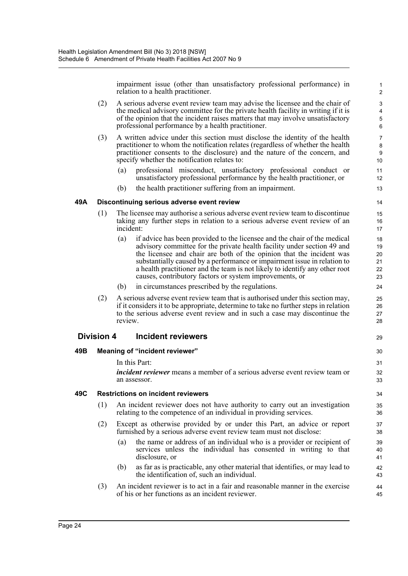impairment issue (other than unsatisfactory professional performance) in relation to a health practitioner.

- (2) A serious adverse event review team may advise the licensee and the chair of the medical advisory committee for the private health facility in writing if it is of the opinion that the incident raises matters that may involve unsatisfactory professional performance by a health practitioner.
- (3) A written advice under this section must disclose the identity of the health practitioner to whom the notification relates (regardless of whether the health practitioner consents to the disclosure) and the nature of the concern, and specify whether the notification relates to:
	- (a) professional misconduct, unsatisfactory professional conduct or unsatisfactory professional performance by the health practitioner, or
	- (b) the health practitioner suffering from an impairment.

#### **49A Discontinuing serious adverse event review**

- (1) The licensee may authorise a serious adverse event review team to discontinue taking any further steps in relation to a serious adverse event review of an incident:
	- (a) if advice has been provided to the licensee and the chair of the medical advisory committee for the private health facility under section 49 and the licensee and chair are both of the opinion that the incident was substantially caused by a performance or impairment issue in relation to a health practitioner and the team is not likely to identify any other root causes, contributory factors or system improvements, or
	- (b) in circumstances prescribed by the regulations.
- (2) A serious adverse event review team that is authorised under this section may, if it considers it to be appropriate, determine to take no further steps in relation to the serious adverse event review and in such a case may discontinue the review.

#### **Division 4 Incident reviewers**

#### **49B Meaning of "incident reviewer"**

In this Part: *incident reviewer* means a member of a serious adverse event review team or an assessor.

#### **49C Restrictions on incident reviewers**

- (1) An incident reviewer does not have authority to carry out an investigation relating to the competence of an individual in providing services.
- (2) Except as otherwise provided by or under this Part, an advice or report furnished by a serious adverse event review team must not disclose:
	- (a) the name or address of an individual who is a provider or recipient of services unless the individual has consented in writing to that disclosure, or
	- (b) as far as is practicable, any other material that identifies, or may lead to the identification of, such an individual.
- (3) An incident reviewer is to act in a fair and reasonable manner in the exercise of his or her functions as an incident reviewer.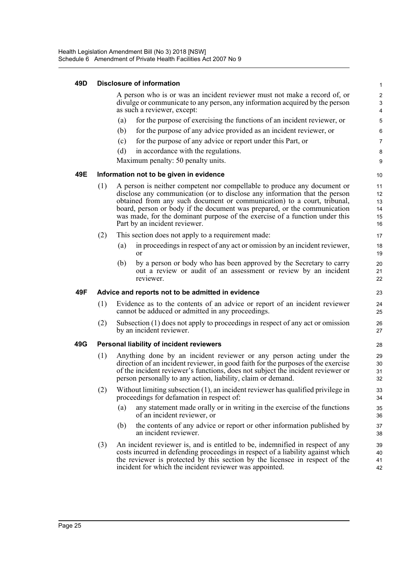#### **49D Disclosure of information**

A person who is or was an incident reviewer must not make a record of, or divulge or communicate to any person, any information acquired by the person as such a reviewer, except:

- (a) for the purpose of exercising the functions of an incident reviewer, or
- (b) for the purpose of any advice provided as an incident reviewer, or
- (c) for the purpose of any advice or report under this Part, or
- (d) in accordance with the regulations.

Maximum penalty: 50 penalty units.

#### **49E Information not to be given in evidence**

- (1) A person is neither competent nor compellable to produce any document or disclose any communication (or to disclose any information that the person obtained from any such document or communication) to a court, tribunal, board, person or body if the document was prepared, or the communication was made, for the dominant purpose of the exercise of a function under this Part by an incident reviewer.
- (2) This section does not apply to a requirement made:
	- (a) in proceedings in respect of any act or omission by an incident reviewer, or
	- (b) by a person or body who has been approved by the Secretary to carry out a review or audit of an assessment or review by an incident reviewer.

#### **49F Advice and reports not to be admitted in evidence**

- (1) Evidence as to the contents of an advice or report of an incident reviewer cannot be adduced or admitted in any proceedings.
- (2) Subsection (1) does not apply to proceedings in respect of any act or omission by an incident reviewer.

#### **49G Personal liability of incident reviewers**

- (1) Anything done by an incident reviewer or any person acting under the direction of an incident reviewer, in good faith for the purposes of the exercise of the incident reviewer's functions, does not subject the incident reviewer or person personally to any action, liability, claim or demand.
- (2) Without limiting subsection (1), an incident reviewer has qualified privilege in proceedings for defamation in respect of:
	- (a) any statement made orally or in writing in the exercise of the functions of an incident reviewer, or
	- (b) the contents of any advice or report or other information published by an incident reviewer.
- (3) An incident reviewer is, and is entitled to be, indemnified in respect of any costs incurred in defending proceedings in respect of a liability against which the reviewer is protected by this section by the licensee in respect of the incident for which the incident reviewer was appointed. 39 40 41 42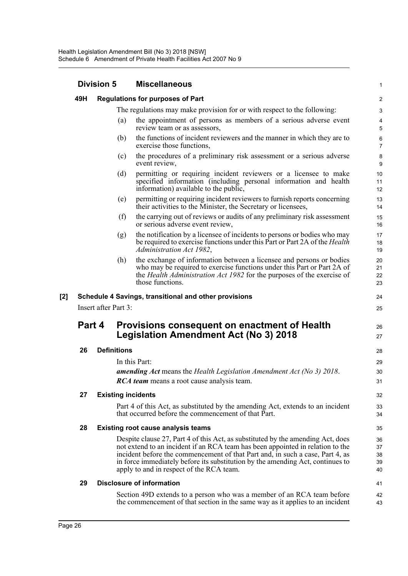|     | <b>Division 5</b> |                      | <b>Miscellaneous</b>                                                                                                                                                                                                                                                                                                                                                             |                                  |
|-----|-------------------|----------------------|----------------------------------------------------------------------------------------------------------------------------------------------------------------------------------------------------------------------------------------------------------------------------------------------------------------------------------------------------------------------------------|----------------------------------|
|     | 49H               |                      | <b>Regulations for purposes of Part</b>                                                                                                                                                                                                                                                                                                                                          | 2                                |
|     |                   |                      | The regulations may make provision for or with respect to the following:                                                                                                                                                                                                                                                                                                         | 3                                |
|     |                   | (a)                  | the appointment of persons as members of a serious adverse event<br>review team or as assessors,                                                                                                                                                                                                                                                                                 | $\overline{4}$<br>$\overline{5}$ |
|     |                   | (b)                  | the functions of incident reviewers and the manner in which they are to<br>exercise those functions,                                                                                                                                                                                                                                                                             | 6<br>$\overline{7}$              |
|     |                   | (c)                  | the procedures of a preliminary risk assessment or a serious adverse<br>event review,                                                                                                                                                                                                                                                                                            | 8<br>9                           |
|     |                   | (d)                  | permitting or requiring incident reviewers or a licensee to make<br>specified information (including personal information and health<br>information) available to the public,                                                                                                                                                                                                    | 10<br>11<br>12                   |
|     |                   | (e)                  | permitting or requiring incident reviewers to furnish reports concerning<br>their activities to the Minister, the Secretary or licensees,                                                                                                                                                                                                                                        | 13<br>14                         |
|     |                   | (f)                  | the carrying out of reviews or audits of any preliminary risk assessment<br>or serious adverse event review,                                                                                                                                                                                                                                                                     | 15<br>16                         |
|     |                   | (g)                  | the notification by a licensee of incidents to persons or bodies who may<br>be required to exercise functions under this Part or Part 2A of the <i>Health</i><br>Administration Act 1982,                                                                                                                                                                                        | 17<br>18<br>19                   |
|     |                   | (h)                  | the exchange of information between a licensee and persons or bodies<br>who may be required to exercise functions under this Part or Part 2A of<br>the <i>Health Administration Act 1982</i> for the purposes of the exercise of<br>those functions.                                                                                                                             | 20<br>21<br>22<br>23             |
| [2] |                   |                      | Schedule 4 Savings, transitional and other provisions                                                                                                                                                                                                                                                                                                                            | 24                               |
|     |                   | Insert after Part 3: |                                                                                                                                                                                                                                                                                                                                                                                  | 25                               |
|     | Part 4            |                      | Provisions consequent on enactment of Health<br><b>Legislation Amendment Act (No 3) 2018</b>                                                                                                                                                                                                                                                                                     | 26<br>27                         |
|     | 26                | <b>Definitions</b>   |                                                                                                                                                                                                                                                                                                                                                                                  | 28                               |
|     |                   |                      | In this Part:                                                                                                                                                                                                                                                                                                                                                                    | 29                               |
|     |                   |                      | amending Act means the Health Legislation Amendment Act (No 3) 2018.<br><b>RCA team</b> means a root cause analysis team.                                                                                                                                                                                                                                                        | 30<br>31                         |
|     | 27                |                      | <b>Existing incidents</b>                                                                                                                                                                                                                                                                                                                                                        | 32                               |
|     |                   |                      | Part 4 of this Act, as substituted by the amending Act, extends to an incident<br>that occurred before the commencement of that Part.                                                                                                                                                                                                                                            | 33<br>34                         |
|     | 28                |                      | <b>Existing root cause analysis teams</b>                                                                                                                                                                                                                                                                                                                                        | 35                               |
|     |                   |                      | Despite clause 27, Part 4 of this Act, as substituted by the amending Act, does<br>not extend to an incident if an RCA team has been appointed in relation to the<br>incident before the commencement of that Part and, in such a case, Part 4, as<br>in force immediately before its substitution by the amending Act, continues to<br>apply to and in respect of the RCA team. | 36<br>37<br>38<br>39<br>40       |
|     | 29                |                      | <b>Disclosure of information</b>                                                                                                                                                                                                                                                                                                                                                 | 41                               |
|     |                   |                      | Section 49D extends to a person who was a member of an RCA team before<br>the commencement of that section in the same way as it applies to an incident                                                                                                                                                                                                                          | 42<br>43                         |